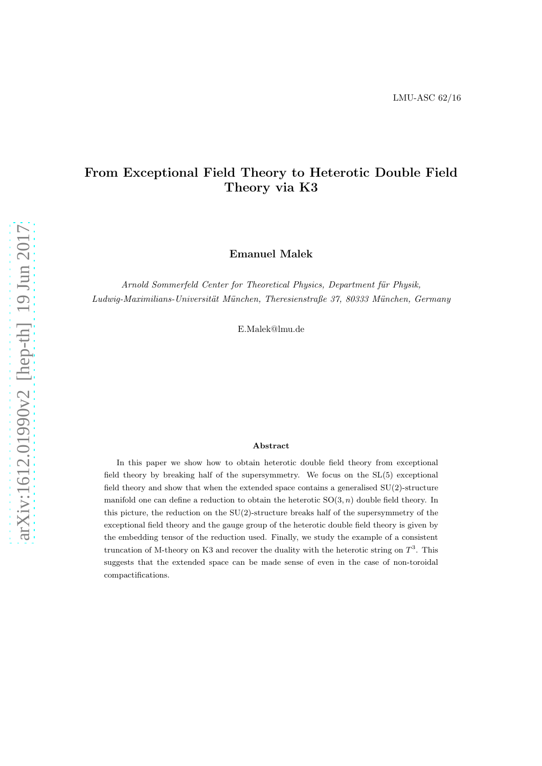## From Exceptional Field Theory to Heterotic Double Field Theory via K3

Emanuel Malek

Arnold Sommerfeld Center for Theoretical Physics, Department für Physik,  $Ludwig-Maximilians-Universität München, Theresienstraße 37, 80333 München, Germany$ 

E.Malek@lmu.de

#### Abstract

In this paper we show how to obtain heterotic double field theory from exceptional field theory by breaking half of the supersymmetry. We focus on the SL(5) exceptional field theory and show that when the extended space contains a generalised SU(2)-structure manifold one can define a reduction to obtain the heterotic  $SO(3, n)$  double field theory. In this picture, the reduction on the  $SU(2)$ -structure breaks half of the supersymmetry of the exceptional field theory and the gauge group of the heterotic double field theory is given by the embedding tensor of the reduction used. Finally, we study the example of a consistent truncation of M-theory on K3 and recover the duality with the heterotic string on  $T^3$ . This suggests that the extended space can be made sense of even in the case of non-toroidal compactifications.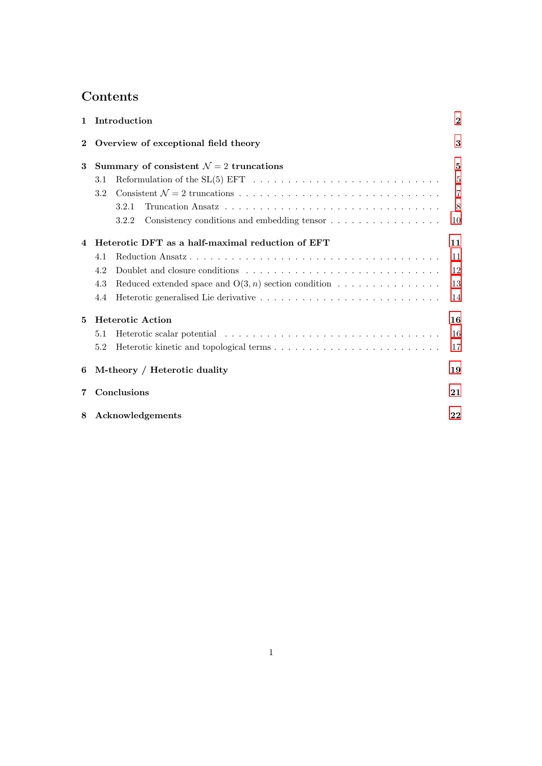# Contents

| 1              | Introduction                                                                                             | $\bf{2}$       |
|----------------|----------------------------------------------------------------------------------------------------------|----------------|
| $\bf{2}$       | Overview of exceptional field theory                                                                     | 3              |
| 3              | Summary of consistent $\mathcal{N}=2$ truncations                                                        | $\mathbf{5}$   |
|                | Reformulation of the $SL(5)$ EFT $\ldots \ldots \ldots \ldots \ldots \ldots \ldots \ldots \ldots$<br>3.1 | 5              |
|                | 3.2                                                                                                      | $\overline{7}$ |
|                | 3.2.1                                                                                                    | 8              |
|                | Consistency conditions and embedding tensor $\dots \dots \dots \dots \dots \dots$<br>3.2.2               | 10             |
| $\overline{4}$ | Heterotic DFT as a half-maximal reduction of EFT                                                         | 11             |
|                | 4.1                                                                                                      | 11             |
|                | 4.2                                                                                                      | 12             |
|                | Reduced extended space and $O(3, n)$ section condition $\dots \dots \dots \dots \dots$<br>4.3            | 13             |
|                | 4.4                                                                                                      | 14             |
| 5              | <b>Heterotic Action</b>                                                                                  | 16             |
|                | 5.1                                                                                                      | 16             |
|                | 5.2                                                                                                      | 17             |
| 6              | M-theory / Heterotic duality                                                                             | 19             |
| 7              | Conclusions                                                                                              | 21             |
| 8              | Acknowledgements                                                                                         | 22             |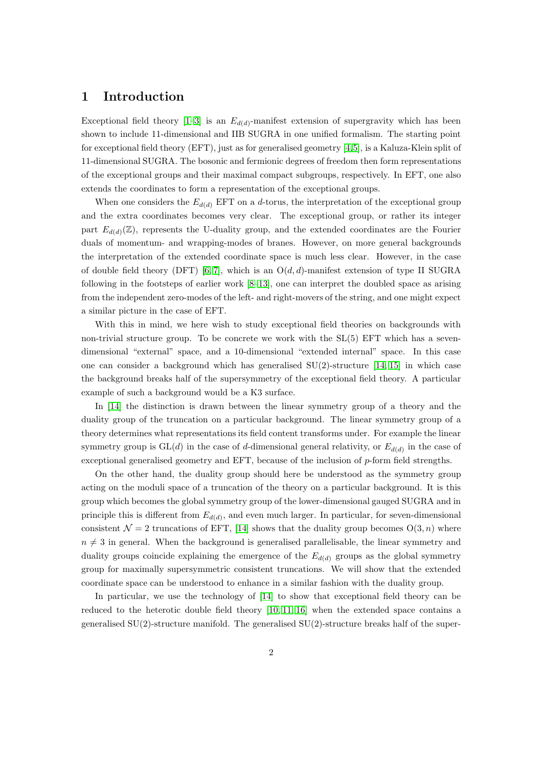### <span id="page-2-0"></span>1 Introduction

Exceptional field theory  $[1-3]$  $[1-3]$  is an  $E_{d(d)}$ -manifest extension of supergravity which has been shown to include 11-dimensional and IIB SUGRA in one unified formalism. The starting point for exceptional field theory (EFT), just as for generalised geometry [\[4,](#page-22-3)[5\]](#page-22-4), is a Kaluza-Klein split of 11-dimensional SUGRA. The bosonic and fermionic degrees of freedom then form representations of the exceptional groups and their maximal compact subgroups, respectively. In EFT, one also extends the coordinates to form a representation of the exceptional groups.

When one considers the  $E_{d(d)}$  EFT on a d-torus, the interpretation of the exceptional group and the extra coordinates becomes very clear. The exceptional group, or rather its integer part  $E_{d(d)}(\mathbb{Z})$ , represents the U-duality group, and the extended coordinates are the Fourier duals of momentum- and wrapping-modes of branes. However, on more general backgrounds the interpretation of the extended coordinate space is much less clear. However, in the case of double field theory (DFT) [\[6,](#page-22-5) [7\]](#page-22-6), which is an  $O(d, d)$ -manifest extension of type II SUGRA following in the footsteps of earlier work [\[8–](#page-22-7)[13\]](#page-23-0), one can interpret the doubled space as arising from the independent zero-modes of the left- and right-movers of the string, and one might expect a similar picture in the case of EFT.

With this in mind, we here wish to study exceptional field theories on backgrounds with non-trivial structure group. To be concrete we work with the SL(5) EFT which has a sevendimensional "external" space, and a 10-dimensional "extended internal" space. In this case one can consider a background which has generalised  $SU(2)$ -structure [\[14,](#page-23-1) [15\]](#page-23-2) in which case the background breaks half of the supersymmetry of the exceptional field theory. A particular example of such a background would be a K3 surface.

In [\[14\]](#page-23-1) the distinction is drawn between the linear symmetry group of a theory and the duality group of the truncation on a particular background. The linear symmetry group of a theory determines what representations its field content transforms under. For example the linear symmetry group is  $GL(d)$  in the case of d-dimensional general relativity, or  $E_{d(d)}$  in the case of exceptional generalised geometry and EFT, because of the inclusion of p-form field strengths.

On the other hand, the duality group should here be understood as the symmetry group acting on the moduli space of a truncation of the theory on a particular background. It is this group which becomes the global symmetry group of the lower-dimensional gauged SUGRA and in principle this is different from  $E_{d(d)}$ , and even much larger. In particular, for seven-dimensional consistent  $\mathcal{N} = 2$  truncations of EFT, [\[14\]](#page-23-1) shows that the duality group becomes  $O(3, n)$  where  $n \neq 3$  in general. When the background is generalised parallelisable, the linear symmetry and duality groups coincide explaining the emergence of the  $E_{d(d)}$  groups as the global symmetry group for maximally supersymmetric consistent truncations. We will show that the extended coordinate space can be understood to enhance in a similar fashion with the duality group.

In particular, we use the technology of [\[14\]](#page-23-1) to show that exceptional field theory can be reduced to the heterotic double field theory [\[10,](#page-22-8) [11,](#page-22-9) [16\]](#page-23-3) when the extended space contains a generalised  $SU(2)$ -structure manifold. The generalised  $SU(2)$ -structure breaks half of the super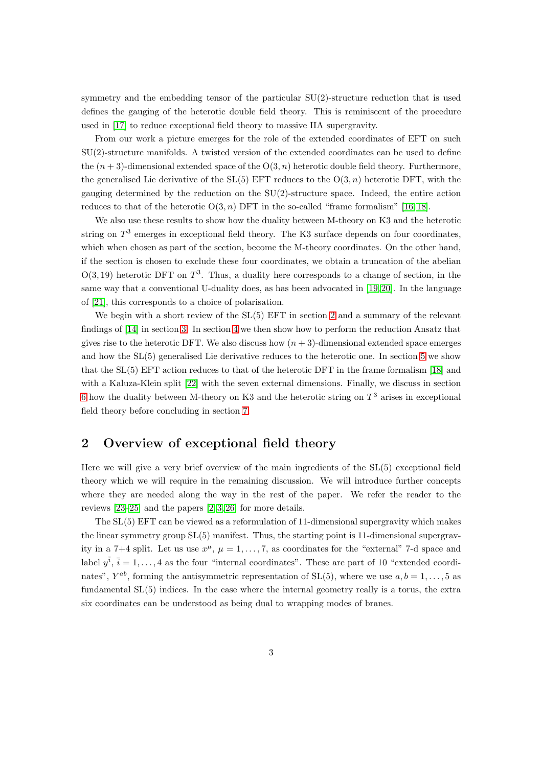symmetry and the embedding tensor of the particular SU(2)-structure reduction that is used defines the gauging of the heterotic double field theory. This is reminiscent of the procedure used in [\[17\]](#page-23-4) to reduce exceptional field theory to massive IIA supergravity.

From our work a picture emerges for the role of the extended coordinates of EFT on such SU(2)-structure manifolds. A twisted version of the extended coordinates can be used to define the  $(n+3)$ -dimensional extended space of the  $O(3, n)$  heterotic double field theory. Furthermore, the generalised Lie derivative of the  $SL(5)$  EFT reduces to the  $O(3, n)$  heterotic DFT, with the gauging determined by the reduction on the SU(2)-structure space. Indeed, the entire action reduces to that of the heterotic  $O(3, n)$  DFT in the so-called "frame formalism" [\[16,](#page-23-3) [18\]](#page-23-5).

We also use these results to show how the duality between M-theory on K3 and the heterotic string on  $T^3$  emerges in exceptional field theory. The K3 surface depends on four coordinates, which when chosen as part of the section, become the M-theory coordinates. On the other hand, if the section is chosen to exclude these four coordinates, we obtain a truncation of the abelian  $O(3, 19)$  heterotic DFT on  $T<sup>3</sup>$ . Thus, a duality here corresponds to a change of section, in the same way that a conventional U-duality does, as has been advocated in [\[19,](#page-23-6)20]. In the language of [\[21\]](#page-23-8), this corresponds to a choice of polarisation.

We begin with a short review of the  $SL(5)$  EFT in section [2](#page-3-0) and a summary of the relevant findings of [\[14\]](#page-23-1) in section [3.](#page-5-0) In section [4](#page-11-0) we then show how to perform the reduction Ansatz that gives rise to the heterotic DFT. We also discuss how  $(n + 3)$ -dimensional extended space emerges and how the SL(5) generalised Lie derivative reduces to the heterotic one. In section [5](#page-16-0) we show that the SL(5) EFT action reduces to that of the heterotic DFT in the frame formalism [\[18\]](#page-23-5) and with a Kaluza-Klein split [\[22\]](#page-23-9) with the seven external dimensions. Finally, we discuss in section [6](#page-19-0) how the duality between M-theory on K3 and the heterotic string on  $T^3$  arises in exceptional field theory before concluding in section [7.](#page-21-0)

## <span id="page-3-0"></span>2 Overview of exceptional field theory

Here we will give a very brief overview of the main ingredients of the SL(5) exceptional field theory which we will require in the remaining discussion. We will introduce further concepts where they are needed along the way in the rest of the paper. We refer the reader to the reviews [\[23](#page-23-10)[–25\]](#page-23-11) and the papers [\[2,](#page-22-10) [3,](#page-22-2) [26\]](#page-23-12) for more details.

The SL(5) EFT can be viewed as a reformulation of 11-dimensional supergravity which makes the linear symmetry group SL(5) manifest. Thus, the starting point is 11-dimensional supergravity in a 7+4 split. Let us use  $x^{\mu}$ ,  $\mu = 1, \ldots, 7$ , as coordinates for the "external" 7-d space and label  $y^{\bar{i}}$ ,  $\bar{i} = 1, \ldots, 4$  as the four "internal coordinates". These are part of 10 "extended coordinates",  $Y^{ab}$ , forming the antisymmetric representation of SL(5), where we use  $a, b = 1, \ldots, 5$  as fundamental SL(5) indices. In the case where the internal geometry really is a torus, the extra six coordinates can be understood as being dual to wrapping modes of branes.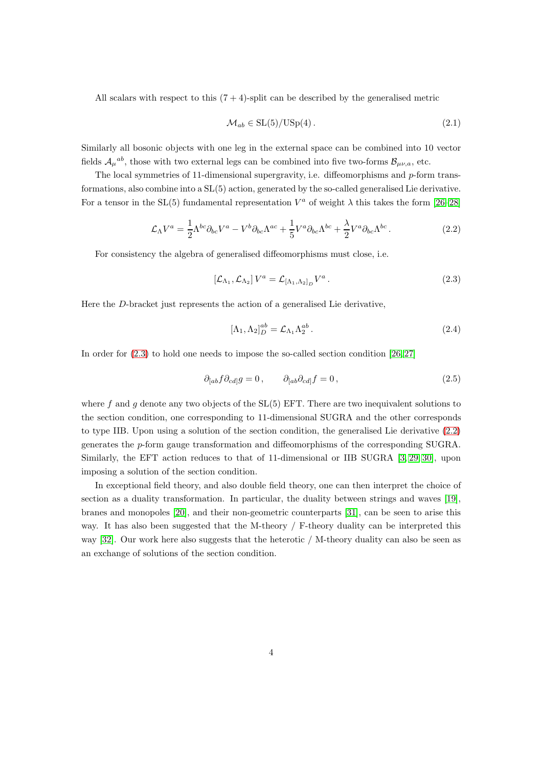All scalars with respect to this  $(7 + 4)$ -split can be described by the generalised metric

$$
\mathcal{M}_{ab} \in \mathrm{SL}(5)/\mathrm{USp}(4). \tag{2.1}
$$

Similarly all bosonic objects with one leg in the external space can be combined into 10 vector fields  $\mathcal{A}_{\mu}{}^{ab}$ , those with two external legs can be combined into five two-forms  $\mathcal{B}_{\mu\nu,a}$ , etc.

The local symmetries of 11-dimensional supergravity, i.e. diffeomorphisms and  $p$ -form transformations, also combine into a SL(5) action, generated by the so-called generalised Lie derivative. For a tensor in the SL(5) fundamental representation  $V^a$  of weight  $\lambda$  this takes the form [\[26](#page-23-12)[–28\]](#page-24-0)

<span id="page-4-1"></span>
$$
\mathcal{L}_{\Lambda}V^{a} = \frac{1}{2}\Lambda^{bc}\partial_{bc}V^{a} - V^{b}\partial_{bc}\Lambda^{ac} + \frac{1}{5}V^{a}\partial_{bc}\Lambda^{bc} + \frac{\lambda}{2}V^{a}\partial_{bc}\Lambda^{bc}.
$$
 (2.2)

For consistency the algebra of generalised diffeomorphisms must close, i.e.

<span id="page-4-0"></span>
$$
\left[\mathcal{L}_{\Lambda_1}, \mathcal{L}_{\Lambda_2}\right] V^a = \mathcal{L}_{\left[\Lambda_1, \Lambda_2\right]_D} V^a \,. \tag{2.3}
$$

Here the D-bracket just represents the action of a generalised Lie derivative,

$$
[\Lambda_1, \Lambda_2]_D^{ab} = \mathcal{L}_{\Lambda_1} \Lambda_2^{ab}.
$$
\n(2.4)

In order for [\(2.3\)](#page-4-0) to hold one needs to impose the so-called section condition [\[26,](#page-23-12) [27\]](#page-23-13)

$$
\partial_{[ab} f \partial_{cd]} g = 0, \qquad \partial_{[ab} \partial_{cd]} f = 0, \qquad (2.5)
$$

where f and g denote any two objects of the  $SL(5)$  EFT. There are two inequivalent solutions to the section condition, one corresponding to 11-dimensional SUGRA and the other corresponds to type IIB. Upon using a solution of the section condition, the generalised Lie derivative [\(2.2\)](#page-4-1) generates the p-form gauge transformation and diffeomorphisms of the corresponding SUGRA. Similarly, the EFT action reduces to that of 11-dimensional or IIB SUGRA [\[3,](#page-22-2) [29,](#page-24-1) [30\]](#page-24-2), upon imposing a solution of the section condition.

In exceptional field theory, and also double field theory, one can then interpret the choice of section as a duality transformation. In particular, the duality between strings and waves [\[19\]](#page-23-6), branes and monopoles [\[20\]](#page-23-7), and their non-geometric counterparts [\[31\]](#page-24-3), can be seen to arise this way. It has also been suggested that the M-theory / F-theory duality can be interpreted this way [\[32\]](#page-24-4). Our work here also suggests that the heterotic / M-theory duality can also be seen as an exchange of solutions of the section condition.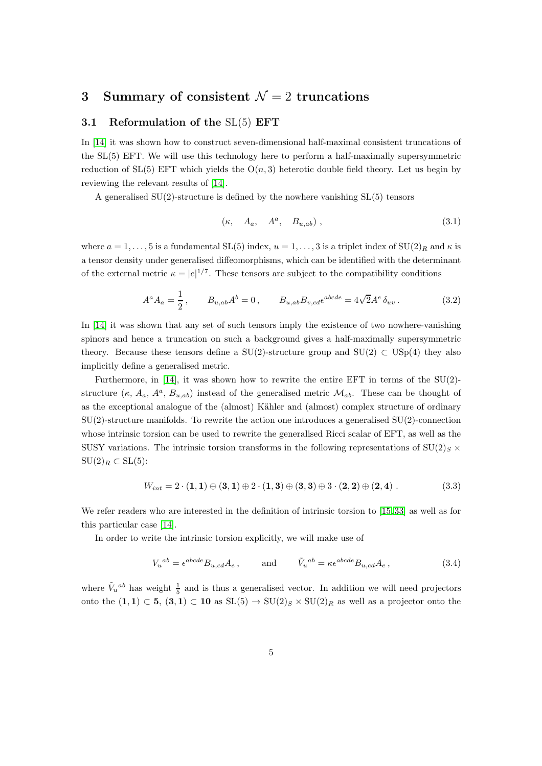## <span id="page-5-1"></span><span id="page-5-0"></span>3 Summary of consistent  $\mathcal{N}=2$  truncations

#### 3.1 Reformulation of the SL(5) EFT

In [\[14\]](#page-23-1) it was shown how to construct seven-dimensional half-maximal consistent truncations of the SL(5) EFT. We will use this technology here to perform a half-maximally supersymmetric reduction of  $SL(5)$  EFT which yields the  $O(n, 3)$  heterotic double field theory. Let us begin by reviewing the relevant results of [\[14\]](#page-23-1).

A generalised  $SU(2)$ -structure is defined by the nowhere vanishing  $SL(5)$  tensors

$$
(\kappa, \quad A_a, \quad A^a, \quad B_{u,ab}) , \tag{3.1}
$$

where  $a = 1, \ldots, 5$  is a fundamental  $SL(5)$  index,  $u = 1, \ldots, 3$  is a triplet index of  $SU(2)_R$  and  $\kappa$  is a tensor density under generalised diffeomorphisms, which can be identified with the determinant of the external metric  $\kappa = |e|^{1/7}$ . These tensors are subject to the compatibility conditions

<span id="page-5-2"></span>
$$
A^{a} A_{a} = \frac{1}{2}, \qquad B_{u,ab} A^{b} = 0, \qquad B_{u,ab} B_{v,cd} \epsilon^{abcde} = 4\sqrt{2} A^{e} \delta_{uv}.
$$
 (3.2)

In [\[14\]](#page-23-1) it was shown that any set of such tensors imply the existence of two nowhere-vanishing spinors and hence a truncation on such a background gives a half-maximally supersymmetric theory. Because these tensors define a SU(2)-structure group and SU(2)  $\subset$  USp(4) they also implicitly define a generalised metric.

Furthermore, in [\[14\]](#page-23-1), it was shown how to rewrite the entire EFT in terms of the  $SU(2)$ structure  $(\kappa, A_a, A^a, B_{u,ab})$  instead of the generalised metric  $\mathcal{M}_{ab}$ . These can be thought of as the exceptional analogue of the (almost) Kähler and (almost) complex structure of ordinary SU(2)-structure manifolds. To rewrite the action one introduces a generalised SU(2)-connection whose intrinsic torsion can be used to rewrite the generalised Ricci scalar of EFT, as well as the SUSY variations. The intrinsic torsion transforms in the following representations of  $SU(2)_S \times$  $\mathrm{SU}(2)_R \subset \mathrm{SL}(5)$ :

$$
W_{int} = 2 \cdot (1,1) \oplus (3,1) \oplus 2 \cdot (1,3) \oplus (3,3) \oplus 3 \cdot (2,2) \oplus (2,4) . \tag{3.3}
$$

We refer readers who are interested in the definition of intrinsic torsion to [\[15,](#page-23-2)33] as well as for this particular case [\[14\]](#page-23-1).

In order to write the intrinsic torsion explicitly, we will make use of

$$
V_u^{ab} = \epsilon^{abcde} B_{u,cd} A_e , \qquad \text{and} \qquad \tilde{V}_u^{ab} = \kappa \epsilon^{abcde} B_{u,cd} A_e , \qquad (3.4)
$$

where  $\tilde{V}_u{}^{ab}$  has weight  $\frac{1}{5}$  and is thus a generalised vector. In addition we will need projectors onto the  $(1,1) \subset 5$ ,  $(3,1) \subset 10$  as  $SL(5) \rightarrow SU(2)_S \times SU(2)_R$  as well as a projector onto the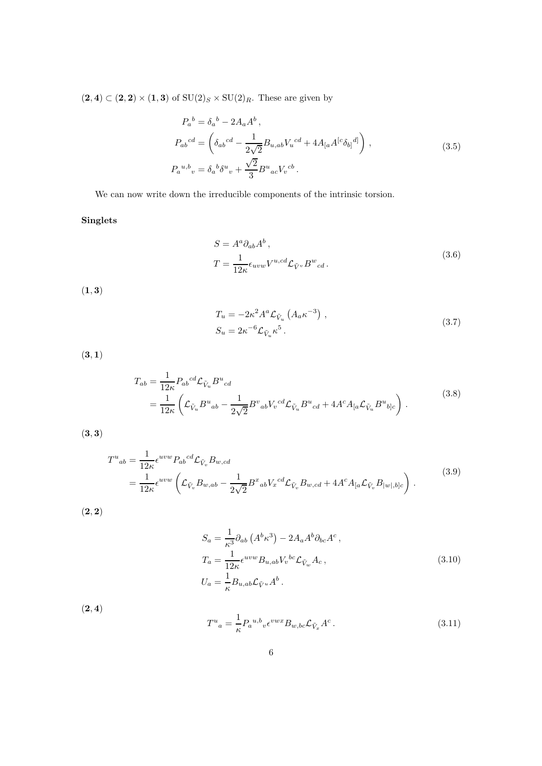$(2, 4) \subset (2, 2) \times (1, 3)$  of  $SU(2)_S \times SU(2)_R$ . These are given by

$$
P_a{}^b = \delta_a{}^b - 2A_a A^b,
$$
  
\n
$$
P_{ab}{}^{cd} = \left(\delta_{ab}{}^{cd} - \frac{1}{2\sqrt{2}} B_{u,ab} V_u{}^{cd} + 4A_{[a} A^{[c} \delta_{b]}{}^{d]}\right),
$$
  
\n
$$
P_a{}^{u,b}{}_{v} = \delta_a{}^b \delta^u{}_v + \frac{\sqrt{2}}{3} B^u{}_{ac} V_v{}^{cb}.
$$
\n(3.5)

We can now write down the irreducible components of the intrinsic torsion.

### Singlets

$$
S = A^a \partial_{ab} A^b,
$$
  
\n
$$
T = \frac{1}{12\kappa} \epsilon_{uvw} V^{u,cd} \mathcal{L}_{\tilde{V}^v} B^w{}_{cd}.
$$
\n(3.6)

 $(1, 3)$ 

$$
T_u = -2\kappa^2 A^a \mathcal{L}_{\tilde{V}_u} \left( A_a \kappa^{-3} \right) ,
$$
  
\n
$$
S_u = 2\kappa^{-6} \mathcal{L}_{\tilde{V}_u} \kappa^5 .
$$
\n(3.7)

 $(3, 1)$ 

$$
T_{ab} = \frac{1}{12\kappa} P_{ab}{}^{cd} \mathcal{L}_{\tilde{V}_u} B^u{}_{cd}
$$
  
= 
$$
\frac{1}{12\kappa} \left( \mathcal{L}_{\tilde{V}_u} B^u{}_{ab} - \frac{1}{2\sqrt{2}} B^v{}_{ab} V_v{}^{cd} \mathcal{L}_{\tilde{V}_u} B^u{}_{cd} + 4A^c A_{[a} \mathcal{L}_{\tilde{V}_u} B^u{}_{b]c} \right).
$$
 (3.8)

 $(3, 3)$ 

$$
T^{u}{}_{ab} = \frac{1}{12\kappa} \epsilon^{uvw} P_{ab}{}^{cd} \mathcal{L}_{\tilde{V}_{v}} B_{w,cd}
$$
\n
$$
= \frac{1}{12\kappa} \epsilon^{uvw} \left( \mathcal{L}_{\tilde{V}_{v}} B_{w,ab} - \frac{1}{2\sqrt{2}} B^{x}{}_{ab} V_{x}{}^{cd} \mathcal{L}_{\tilde{V}_{v}} B_{w,cd} + 4A^{c} A_{[a} \mathcal{L}_{\tilde{V}_{v}} B_{|w|,b]c} \right) .
$$
\n(3.9)

 $(2, 2)$ 

$$
S_a = \frac{1}{\kappa^3} \partial_{ab} \left( A^b \kappa^3 \right) - 2A_a A^b \partial_{bc} A^c ,
$$
  
\n
$$
T_a = \frac{1}{12\kappa} \epsilon^{uvw} B_{u,ab} V_v^{bc} \mathcal{L}_{\tilde{V}_w} A_c ,
$$
  
\n
$$
U_a = \frac{1}{\kappa} B_{u,ab} \mathcal{L}_{\tilde{V}^u} A^b .
$$
\n(3.10)

 $(2, 4)$ 

$$
T^u{}_a = \frac{1}{\kappa} P_a{}^{u,b}{}_{v} \epsilon^{vwx} B_{w,bc} \mathcal{L}_{\tilde{V}_x} A^c \,. \tag{3.11}
$$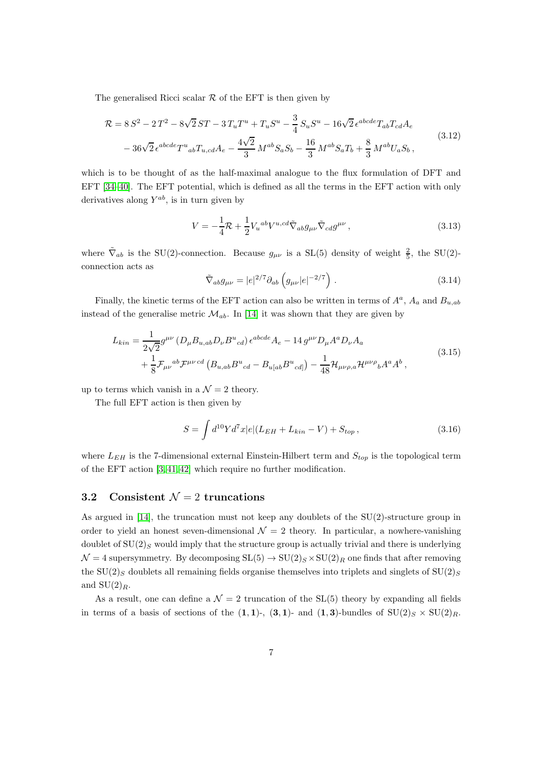The generalised Ricci scalar  $R$  of the EFT is then given by

<span id="page-7-1"></span>
$$
\mathcal{R} = 8 S^2 - 2 T^2 - 8\sqrt{2} ST - 3 T_u T^u + T_u S^u - \frac{3}{4} S_u S^u - 16\sqrt{2} \epsilon^{abcde} T_{ab} T_{cd} A_e
$$
  

$$
- 36\sqrt{2} \epsilon^{abcde} T^u{}_{ab} T_{u,cd} A_e - \frac{4\sqrt{2}}{3} M^{ab} S_a S_b - \frac{16}{3} M^{ab} S_a T_b + \frac{8}{3} M^{ab} U_a S_b,
$$
(3.12)

which is to be thought of as the half-maximal analogue to the flux formulation of DFT and EFT [\[34–](#page-24-6)[40\]](#page-24-7). The EFT potential, which is defined as all the terms in the EFT action with only derivatives along  $Y^{ab}$ , is in turn given by

$$
V = -\frac{1}{4}\mathcal{R} + \frac{1}{2}V_u{}^{ab}V^{u,cd}\tilde{\nabla}_{ab}g_{\mu\nu}\tilde{\nabla}_{cd}g^{\mu\nu},\qquad(3.13)
$$

where  $\tilde{\nabla}_{ab}$  is the SU(2)-connection. Because  $g_{\mu\nu}$  is a SL(5) density of weight  $\frac{2}{5}$ , the SU(2)connection acts as

<span id="page-7-2"></span>
$$
\tilde{\nabla}_{ab} g_{\mu\nu} = |e|^{2/7} \partial_{ab} \left( g_{\mu\nu} |e|^{-2/7} \right) . \tag{3.14}
$$

Finally, the kinetic terms of the EFT action can also be written in terms of  $A^a$ ,  $A_a$  and  $B_{u,ab}$ instead of the generalise metric  $\mathcal{M}_{ab}$ . In [\[14\]](#page-23-1) it was shown that they are given by

$$
L_{kin} = \frac{1}{2\sqrt{2}} g^{\mu\nu} \left( D_{\mu} B_{u,ab} D_{\nu} B^{u}{}_{cd} \right) \epsilon^{abcde} A_{e} - 14 g^{\mu\nu} D_{\mu} A^{a} D_{\nu} A_{a}
$$
  
+  $\frac{1}{8} \mathcal{F}_{\mu\nu}{}^{ab} \mathcal{F}^{\mu\nu}{}^{cd} \left( B_{u,ab} B^{u}{}_{cd} - B_{u[a b} B^{u}{}_{cd]} \right) - \frac{1}{48} \mathcal{H}_{\mu\nu\rho,a} \mathcal{H}^{\mu\nu\rho}{}_{b} A^{a} A^{b} ,$  (3.15)

up to terms which vanish in a  $\mathcal{N}=2$  theory.

The full EFT action is then given by

$$
S = \int d^{10}Y d^{7}x |e|(L_{EH} + L_{kin} - V) + S_{top},
$$
\n(3.16)

where  $L_{EH}$  is the 7-dimensional external Einstein-Hilbert term and  $S_{top}$  is the topological term of the EFT action [\[3,](#page-22-2) [41,](#page-24-8) [42\]](#page-24-9) which require no further modification.

### <span id="page-7-0"></span>3.2 Consistent  $\mathcal{N}=2$  truncations

As argued in [\[14\]](#page-23-1), the truncation must not keep any doublets of the SU(2)-structure group in order to yield an honest seven-dimensional  $\mathcal{N} = 2$  theory. In particular, a nowhere-vanishing doublet of  $SU(2)_S$  would imply that the structure group is actually trivial and there is underlying  $\mathcal{N} = 4$  supersymmetry. By decomposing  $SL(5) \rightarrow SU(2)_S \times SU(2)_R$  one finds that after removing the  $SU(2)_S$  doublets all remaining fields organise themselves into triplets and singlets of  $SU(2)_S$ and  $SU(2)<sub>R</sub>$ .

As a result, one can define a  $\mathcal{N} = 2$  truncation of the SL(5) theory by expanding all fields in terms of a basis of sections of the  $(1, 1)$ -,  $(3, 1)$ - and  $(1, 3)$ -bundles of  $SU(2)_S \times SU(2)_R$ .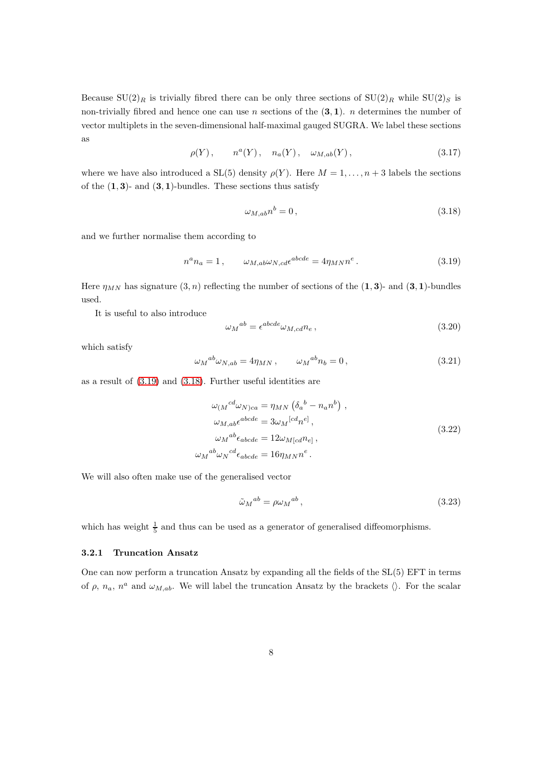Because  $SU(2)_R$  is trivially fibred there can be only three sections of  $SU(2)_R$  while  $SU(2)_S$  is non-trivially fibred and hence one can use n sections of the  $(3, 1)$ . n determines the number of vector multiplets in the seven-dimensional half-maximal gauged SUGRA. We label these sections as

$$
\rho(Y), \qquad n^a(Y), \quad n_a(Y), \quad \omega_{M,ab}(Y),
$$
\n(3.17)

where we have also introduced a  $SL(5)$  density  $\rho(Y)$ . Here  $M = 1, \ldots, n+3$  labels the sections of the  $(1, 3)$ - and  $(3, 1)$ -bundles. These sections thus satisfy

<span id="page-8-2"></span>
$$
\omega_{M,ab}n^b = 0\,,\tag{3.18}
$$

and we further normalise them according to

<span id="page-8-1"></span>
$$
n^{a}n_{a} = 1, \qquad \omega_{M,ab}\omega_{N,cd}\epsilon^{abcde} = 4\eta_{MN}n^{e}. \qquad (3.19)
$$

Here  $\eta_{MN}$  has signature  $(3, n)$  reflecting the number of sections of the  $(1, 3)$ - and  $(3, 1)$ -bundles used.

It is useful to also introduce

$$
\omega_M{}^{ab} = \epsilon^{abcde} \omega_{M,cd} n_e \,, \tag{3.20}
$$

which satisfy

$$
\omega_M{}^{ab}\omega_{N,ab} = 4\eta_{MN} , \qquad \omega_M{}^{ab} n_b = 0 , \qquad (3.21)
$$

<span id="page-8-3"></span>as a result of [\(3.19\)](#page-8-1) and [\(3.18\)](#page-8-2). Further useful identities are

$$
\omega_{(M}{}^{cd}\omega_{N)ca} = \eta_{MN} \left(\delta_a{}^b - n_a n^b\right) ,
$$
  
\n
$$
\omega_{M,ab}\epsilon^{abcde} = 3\omega_M{}^{[cd}n^e],
$$
  
\n
$$
\omega_M{}^{ab}\epsilon_{abcde} = 12\omega_{M[cd}n_e],
$$
  
\n
$$
\omega_M{}^{ab}\omega_N{}^{cd}\epsilon_{abcde} = 16\eta_{MN}n^e.
$$
\n(3.22)

We will also often make use of the generalised vector

$$
\tilde{\omega}_M{}^{ab} = \rho \omega_M{}^{ab} \,,\tag{3.23}
$$

which has weight  $\frac{1}{5}$  and thus can be used as a generator of generalised diffeomorphisms.

#### <span id="page-8-0"></span>3.2.1 Truncation Ansatz

One can now perform a truncation Ansatz by expanding all the fields of the SL(5) EFT in terms of  $\rho$ ,  $n_a$ ,  $n^a$  and  $\omega_{M,ab}$ . We will label the truncation Ansatz by the brackets  $\langle \rangle$ . For the scalar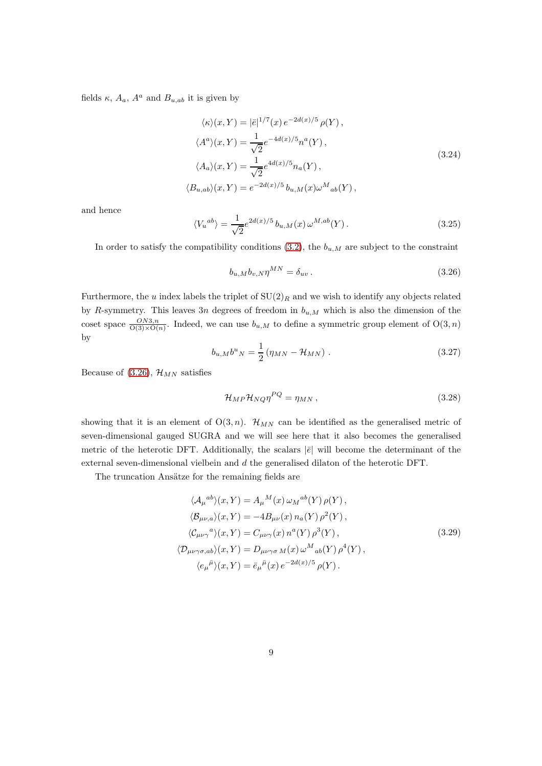<span id="page-9-1"></span>fields  $\kappa$ ,  $A_a$ ,  $A^a$  and  $B_{u,ab}$  it is given by

$$
\langle \kappa \rangle (x, Y) = |\bar{e}|^{1/7}(x) e^{-2d(x)/5} \rho(Y),
$$
  
\n
$$
\langle A^a \rangle (x, Y) = \frac{1}{\sqrt{2}} e^{-4d(x)/5} n^a(Y),
$$
  
\n
$$
\langle A_a \rangle (x, Y) = \frac{1}{\sqrt{2}} e^{4d(x)/5} n_a(Y),
$$
  
\n
$$
\langle B_{u,ab} \rangle (x, Y) = e^{-2d(x)/5} b_{u,M}(x) \omega^M{}_{ab}(Y),
$$
\n(3.24)

and hence

$$
\langle V_u^{ab} \rangle = \frac{1}{\sqrt{2}} e^{2d(x)/5} b_{u,M}(x) \,\omega^{M,ab}(Y) \,. \tag{3.25}
$$

In order to satisfy the compatibility conditions  $(3.2)$ , the  $b_{u,M}$  are subject to the constraint

<span id="page-9-0"></span>
$$
b_{u,M}b_{v,N}\eta^{MN} = \delta_{uv} \,. \tag{3.26}
$$

Furthermore, the u index labels the triplet of  $SU(2)_R$  and we wish to identify any objects related by R-symmetry. This leaves  $3n$  degrees of freedom in  $b_{u,M}$  which is also the dimension of the coset space  $\frac{ON3,n}{O(3)\times O(n)}$ . Indeed, we can use  $b_{u,M}$  to define a symmetric group element of  $O(3, n)$ by

$$
b_{u,M}b^{u}{}_{N} = \frac{1}{2} \left( \eta_{MN} - \mathcal{H}_{MN} \right) . \tag{3.27}
$$

Because of [\(3.26\)](#page-9-0),  $\mathcal{H}_{MN}$  satisfies

$$
\mathcal{H}_{MP}\mathcal{H}_{NQ}\eta^{PQ} = \eta_{MN},\qquad(3.28)
$$

showing that it is an element of  $O(3, n)$ .  $\mathcal{H}_{MN}$  can be identified as the generalised metric of seven-dimensional gauged SUGRA and we will see here that it also becomes the generalised metric of the heterotic DFT. Additionally, the scalars  $|\bar{e}|$  will become the determinant of the external seven-dimensional vielbein and d the generalised dilaton of the heterotic DFT.

<span id="page-9-2"></span>The truncation Ansätze for the remaining fields are

$$
\langle A_{\mu}{}^{ab}\rangle(x,Y) = A_{\mu}{}^{M}(x)\,\omega_{M}{}^{ab}(Y)\,\rho(Y),
$$
  
\n
$$
\langle \mathcal{B}_{\mu\nu,a}\rangle(x,Y) = -4B_{\mu\nu}(x)\,n_{a}(Y)\,\rho^{2}(Y),
$$
  
\n
$$
\langle \mathcal{C}_{\mu\nu\gamma}{}^{a}\rangle(x,Y) = C_{\mu\nu\gamma}(x)\,n^{a}(Y)\,\rho^{3}(Y),
$$
  
\n
$$
\langle \mathcal{D}_{\mu\nu\gamma\sigma,ab}\rangle(x,Y) = D_{\mu\nu\gamma\sigma\,M}(x)\,\omega^{M}{}_{ab}(Y)\,\rho^{4}(Y),
$$
  
\n
$$
\langle e_{\mu}{}^{\bar{\mu}}\rangle(x,Y) = \bar{e}_{\mu}{}^{\bar{\mu}}(x)\,e^{-2d(x)/5}\,\rho(Y).
$$
\n(3.29)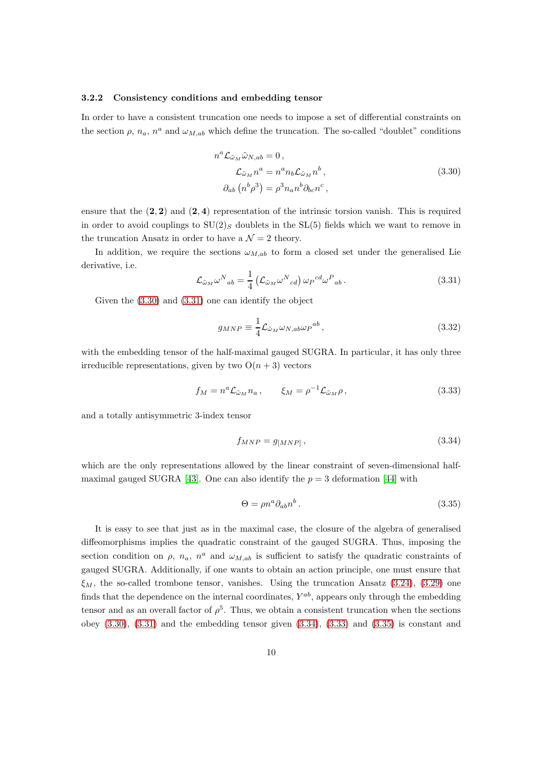#### <span id="page-10-0"></span>3.2.2 Consistency conditions and embedding tensor

In order to have a consistent truncation one needs to impose a set of differential constraints on the section  $\rho$ ,  $n_a$ ,  $n^a$  and  $\omega_{M,ab}$  which define the truncation. The so-called "doublet" conditions

$$
n^{a} \mathcal{L}_{\tilde{\omega}_{M}} \tilde{\omega}_{N,ab} = 0 ,
$$
  
\n
$$
\mathcal{L}_{\tilde{\omega}_{M}} n^{a} = n^{a} n_{b} \mathcal{L}_{\tilde{\omega}_{M}} n^{b} ,
$$
  
\n
$$
\partial_{ab} (n^{b} \rho^{3}) = \rho^{3} n_{a} n^{b} \partial_{bc} n^{c} ,
$$
\n(3.30)

<span id="page-10-1"></span>ensure that the  $(2, 2)$  and  $(2, 4)$  representation of the intrinsic torsion vanish. This is required in order to avoid couplings to  $SU(2)_S$  doublets in the  $SL(5)$  fields which we want to remove in the truncation Ansatz in order to have a  $\mathcal{N}=2$  theory.

In addition, we require the sections  $\omega_{M,ab}$  to form a closed set under the generalised Lie derivative, i.e.

<span id="page-10-2"></span>
$$
\mathcal{L}_{\tilde{\omega}_M} \omega^N{}_{ab} = \frac{1}{4} \left( \mathcal{L}_{\tilde{\omega}_M} \omega^N{}_{cd} \right) \omega_P{}^{cd} \omega^P{}_{ab} \,. \tag{3.31}
$$

Given the [\(3.30\)](#page-10-1) and [\(3.31\)](#page-10-2) one can identify the object

$$
g_{MNP} \equiv \frac{1}{4} \mathcal{L}_{\tilde{\omega}_M} \omega_{N,ab} \omega_P{}^{ab} \,, \tag{3.32}
$$

with the embedding tensor of the half-maximal gauged SUGRA. In particular, it has only three irreducible representations, given by two  $O(n+3)$  vectors

<span id="page-10-4"></span>
$$
f_M = n^a \mathcal{L}_{\tilde{\omega}_M} n_a , \qquad \xi_M = \rho^{-1} \mathcal{L}_{\tilde{\omega}_M} \rho , \qquad (3.33)
$$

and a totally antisymmetric 3-index tensor

<span id="page-10-3"></span>
$$
f_{MNP} = g_{[MNP]},\tag{3.34}
$$

which are the only representations allowed by the linear constraint of seven-dimensional half-maximal gauged SUGRA [\[43\]](#page-24-10). One can also identify the  $p = 3$  deformation [\[44\]](#page-25-0) with

<span id="page-10-5"></span>
$$
\Theta = \rho n^a \partial_{ab} n^b \,. \tag{3.35}
$$

It is easy to see that just as in the maximal case, the closure of the algebra of generalised diffeomorphisms implies the quadratic constraint of the gauged SUGRA. Thus, imposing the section condition on  $\rho$ ,  $n_a$ ,  $n^a$  and  $\omega_{M,ab}$  is sufficient to satisfy the quadratic constraints of gauged SUGRA. Additionally, if one wants to obtain an action principle, one must ensure that  $\xi_M$ , the so-called trombone tensor, vanishes. Using the truncation Ansatz [\(3.24\)](#page-9-1), [\(3.29\)](#page-9-2) one finds that the dependence on the internal coordinates,  $Y^{ab}$ , appears only through the embedding tensor and as an overall factor of  $\rho^5$ . Thus, we obtain a consistent truncation when the sections obey  $(3.30)$ ,  $(3.31)$  and the embedding tensor given  $(3.34)$ ,  $(3.33)$  and  $(3.35)$  is constant and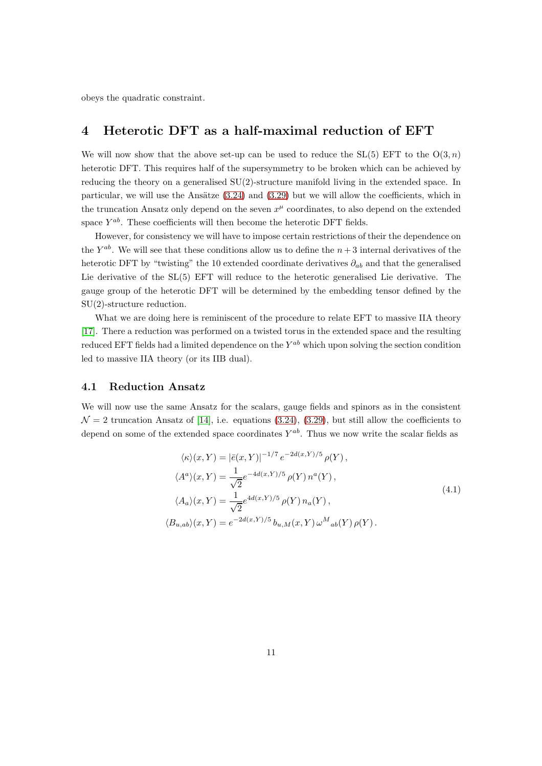<span id="page-11-0"></span>obeys the quadratic constraint.

### 4 Heterotic DFT as a half-maximal reduction of EFT

We will now show that the above set-up can be used to reduce the  $SL(5)$  EFT to the  $O(3, n)$ heterotic DFT. This requires half of the supersymmetry to be broken which can be achieved by reducing the theory on a generalised  $SU(2)$ -structure manifold living in the extended space. In particular, we will use the Ansätze  $(3.24)$  and  $(3.29)$  but we will allow the coefficients, which in the truncation Ansatz only depend on the seven  $x^{\mu}$  coordinates, to also depend on the extended space  $Y^{ab}$ . These coefficients will then become the heterotic DFT fields.

However, for consistency we will have to impose certain restrictions of their the dependence on the  $Y^{ab}$ . We will see that these conditions allow us to define the  $n+3$  internal derivatives of the heterotic DFT by "twisting" the 10 extended coordinate derivatives  $\partial_{ab}$  and that the generalised Lie derivative of the SL(5) EFT will reduce to the heterotic generalised Lie derivative. The gauge group of the heterotic DFT will be determined by the embedding tensor defined by the SU(2)-structure reduction.

What we are doing here is reminiscent of the procedure to relate EFT to massive IIA theory [\[17\]](#page-23-4). There a reduction was performed on a twisted torus in the extended space and the resulting reduced EFT fields had a limited dependence on the  $Y^{ab}$  which upon solving the section condition led to massive IIA theory (or its IIB dual).

#### <span id="page-11-1"></span>4.1 Reduction Ansatz

We will now use the same Ansatz for the scalars, gauge fields and spinors as in the consistent  $\mathcal{N}=2$  truncation Ansatz of [\[14\]](#page-23-1), i.e. equations [\(3.24\)](#page-9-1), [\(3.29\)](#page-9-2), but still allow the coefficients to depend on some of the extended space coordinates  $Y^{ab}$ . Thus we now write the scalar fields as

$$
\langle \kappa \rangle (x, Y) = |\bar{e}(x, Y)|^{-1/7} e^{-2d(x, Y)/5} \rho(Y),
$$
  
\n
$$
\langle A^a \rangle (x, Y) = \frac{1}{\sqrt{2}} e^{-4d(x, Y)/5} \rho(Y) n^a(Y),
$$
  
\n
$$
\langle A_a \rangle (x, Y) = \frac{1}{\sqrt{2}} e^{4d(x, Y)/5} \rho(Y) n_a(Y),
$$
  
\n
$$
\langle B_{u, ab} \rangle (x, Y) = e^{-2d(x, Y)/5} b_{u, M}(x, Y) \omega^M{}_{ab}(Y) \rho(Y).
$$
  
\n(4.1)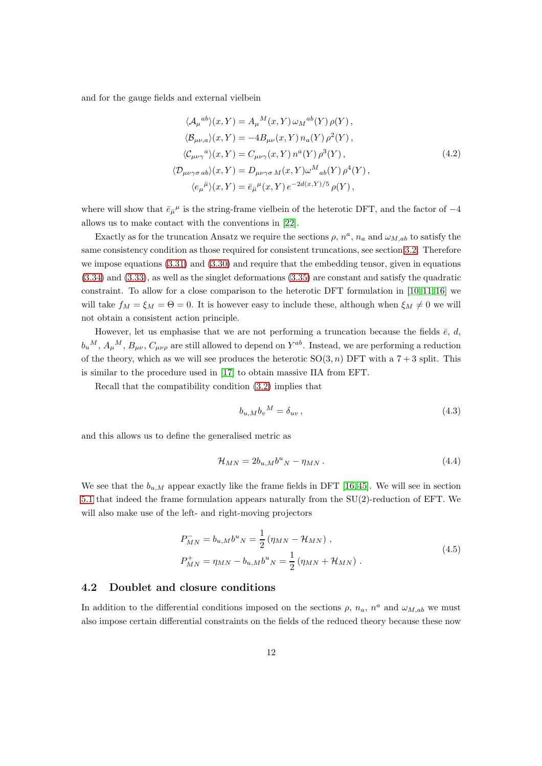and for the gauge fields and external vielbein

$$
\langle A_{\mu}{}^{ab}\rangle(x,Y) = A_{\mu}{}^{M}(x,Y)\,\omega_{M}{}^{ab}(Y)\,\rho(Y),
$$
  
\n
$$
\langle \mathcal{B}_{\mu\nu,a}\rangle(x,Y) = -4B_{\mu\nu}(x,Y)\,n_{a}(Y)\,\rho^{2}(Y),
$$
  
\n
$$
\langle \mathcal{C}_{\mu\nu\gamma}{}^{a}\rangle(x,Y) = C_{\mu\nu\gamma}(x,Y)\,n^{a}(Y)\,\rho^{3}(Y),
$$
  
\n
$$
\langle \mathcal{D}_{\mu\nu\gamma\sigma\,ab}\rangle(x,Y) = D_{\mu\nu\gamma\sigma\,M}(x,Y)\omega^{M}{}_{ab}(Y)\,\rho^{4}(Y),
$$
  
\n
$$
\langle e_{\mu}{}^{\bar{\mu}}\rangle(x,Y) = \bar{e}_{\bar{\mu}}{}^{\mu}(x,Y)\,e^{-2d(x,Y)/5}\,\rho(Y),
$$
\n(4.2)

where will show that  $\bar{e}_{\bar{\mu}}{}^{\mu}$  is the string-frame vielbein of the heterotic DFT, and the factor of  $-4$ allows us to make contact with the conventions in [\[22\]](#page-23-9).

Exactly as for the truncation Ansatz we require the sections  $\rho$ ,  $n^a$ ,  $n_a$  and  $\omega_{M,ab}$  to satisfy the same consistency condition as those required for consistent truncations, see section [3.2.](#page-7-0) Therefore we impose equations [\(3.31\)](#page-10-2) and [\(3.30\)](#page-10-1) and require that the embedding tensor, given in equations [\(3.34\)](#page-10-3) and [\(3.33\)](#page-10-4), as well as the singlet deformations [\(3.35\)](#page-10-5) are constant and satisfy the quadratic constraint. To allow for a close comparison to the heterotic DFT formulation in [\[10,](#page-22-8) [11,](#page-22-9) [16\]](#page-23-3) we will take  $f_M = \xi_M = \Theta = 0$ . It is however easy to include these, although when  $\xi_M \neq 0$  we will not obtain a consistent action principle.

However, let us emphasise that we are not performing a truncation because the fields  $\bar{e}$ , d,  $b_u{}^M$ ,  $A_\mu{}^M$ ,  $B_{\mu\nu}$ ,  $C_{\mu\nu\rho}$  are still allowed to depend on  $Y^{ab}$ . Instead, we are performing a reduction of the theory, which as we will see produces the heterotic  $SO(3, n)$  DFT with a  $7 + 3$  split. This is similar to the procedure used in [\[17\]](#page-23-4) to obtain massive IIA from EFT.

Recall that the compatibility condition [\(3.2\)](#page-5-2) implies that

$$
b_{u,M}b_v{}^M = \delta_{uv}\,,\tag{4.3}
$$

and this allows us to define the generalised metric as

$$
\mathcal{H}_{MN} = 2b_{u,M}b^u{}_N - \eta_{MN} \,. \tag{4.4}
$$

We see that the  $b_{u,M}$  appear exactly like the frame fields in DFT [\[16,](#page-23-3)45]. We will see in section [5.1](#page-16-1) that indeed the frame formulation appears naturally from the SU(2)-reduction of EFT. We will also make use of the left- and right-moving projectors

$$
P_{MN}^{-} = b_{u,M}b^{u}{}_{N} = \frac{1}{2} (\eta_{MN} - \mathcal{H}_{MN}),
$$
  
\n
$$
P_{MN}^{+} = \eta_{MN} - b_{u,M}b^{u}{}_{N} = \frac{1}{2} (\eta_{MN} + \mathcal{H}_{MN}).
$$
\n(4.5)

#### <span id="page-12-0"></span>4.2 Doublet and closure conditions

In addition to the differential conditions imposed on the sections  $\rho$ ,  $n_a$ ,  $n^a$  and  $\omega_{M,ab}$  we must also impose certain differential constraints on the fields of the reduced theory because these now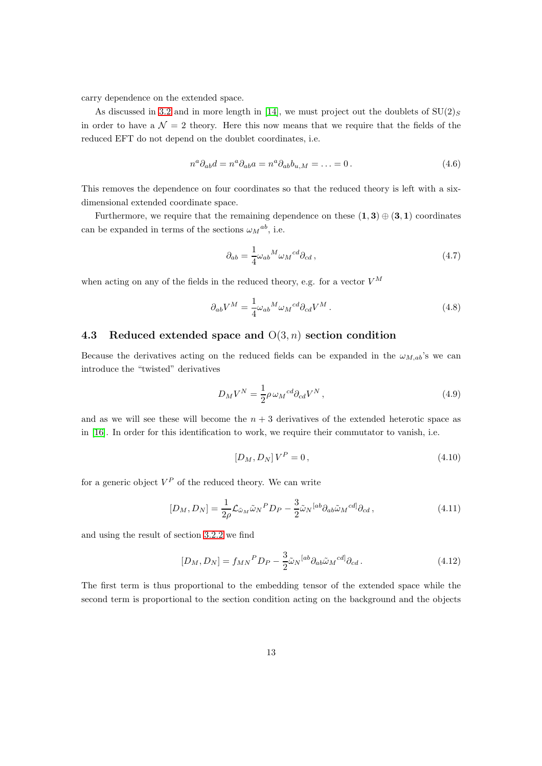carry dependence on the extended space.

As discussed in [3.2](#page-7-0) and in more length in [\[14\]](#page-23-1), we must project out the doublets of  $SU(2)_S$ in order to have a  $\mathcal{N} = 2$  theory. Here this now means that we require that the fields of the reduced EFT do not depend on the doublet coordinates, i.e.

$$
n^a \partial_{ab} d = n^a \partial_{ab} a = n^a \partial_{ab} b_{u,M} = \dots = 0.
$$
 (4.6)

This removes the dependence on four coordinates so that the reduced theory is left with a sixdimensional extended coordinate space.

Furthermore, we require that the remaining dependence on these  $(1,3) \oplus (3,1)$  coordinates can be expanded in terms of the sections  $\omega_M{}^{ab}$ , i.e.

$$
\partial_{ab} = \frac{1}{4} \omega_{ab}{}^M \omega_M{}^{cd} \partial_{cd} \,, \tag{4.7}
$$

when acting on any of the fields in the reduced theory, e.g. for a vector  $V^M$ 

$$
\partial_{ab}V^M = \frac{1}{4}\omega_{ab}{}^M \omega_M{}^{cd} \partial_{cd}V^M . \qquad (4.8)
$$

#### <span id="page-13-0"></span>4.3 Reduced extended space and  $O(3, n)$  section condition

Because the derivatives acting on the reduced fields can be expanded in the  $\omega_{M,ab}$ 's we can introduce the "twisted" derivatives

$$
D_M V^N = \frac{1}{2} \rho \,\omega_M{}^{cd} \partial_{cd} V^N \,, \tag{4.9}
$$

and as we will see these will become the  $n + 3$  derivatives of the extended heterotic space as in [\[16\]](#page-23-3). In order for this identification to work, we require their commutator to vanish, i.e.

$$
[D_M, D_N]V^P = 0, \t\t(4.10)
$$

for a generic object  $V^P$  of the reduced theory. We can write

$$
[D_M, D_N] = \frac{1}{2\rho} \mathcal{L}_{\tilde{\omega}_M} \tilde{\omega}_N{}^P D_P - \frac{3}{2} \tilde{\omega}_N{}^{[ab} \partial_{ab} \tilde{\omega}_M{}^{cd]} \partial_{cd} \,, \tag{4.11}
$$

and using the result of section [3.2.2](#page-10-0) we find

$$
[D_M, D_N] = f_{MN}{}^P D_P - \frac{3}{2} \tilde{\omega}_N{}^{[ab} \partial_{ab} \tilde{\omega}_M{}^{cd]} \partial_{cd}.
$$
 (4.12)

The first term is thus proportional to the embedding tensor of the extended space while the second term is proportional to the section condition acting on the background and the objects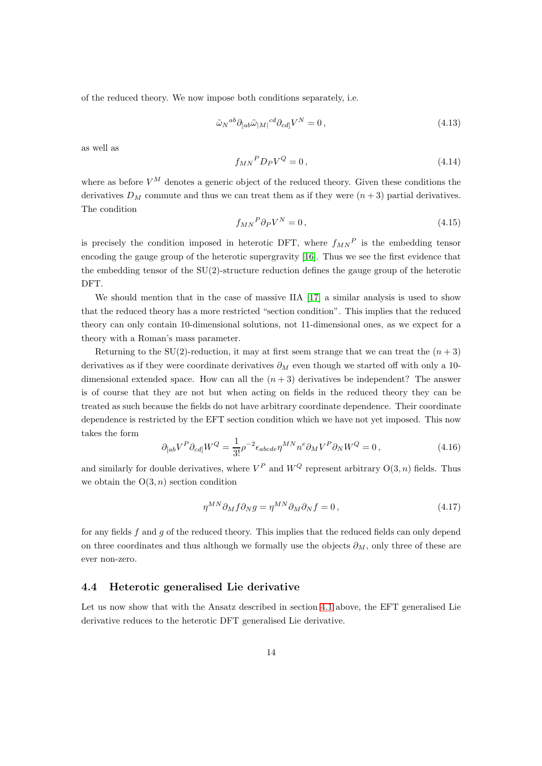of the reduced theory. We now impose both conditions separately, i.e.

$$
\tilde{\omega}_N{}^{ab} \partial_{[ab}\tilde{\omega}_{[M]}{}^{cd} \partial_{cd]} V^N = 0, \qquad (4.13)
$$

as well as

$$
f_{MN}{}^P D_P V^Q = 0, \qquad (4.14)
$$

where as before  $V^M$  denotes a generic object of the reduced theory. Given these conditions the derivatives  $D_M$  commute and thus we can treat them as if they were  $(n+3)$  partial derivatives. The condition

$$
f_{MN}{}^P \partial_P V^N = 0 \,, \tag{4.15}
$$

is precisely the condition imposed in heterotic DFT, where  $f_{MN}{}^P$  is the embedding tensor encoding the gauge group of the heterotic supergravity [\[16\]](#page-23-3). Thus we see the first evidence that the embedding tensor of the  $SU(2)$ -structure reduction defines the gauge group of the heterotic DFT.

We should mention that in the case of massive IIA [\[17\]](#page-23-4) a similar analysis is used to show that the reduced theory has a more restricted "section condition". This implies that the reduced theory can only contain 10-dimensional solutions, not 11-dimensional ones, as we expect for a theory with a Roman's mass parameter.

Returning to the SU(2)-reduction, it may at first seem strange that we can treat the  $(n+3)$ derivatives as if they were coordinate derivatives  $\partial_M$  even though we started off with only a 10dimensional extended space. How can all the  $(n+3)$  derivatives be independent? The answer is of course that they are not but when acting on fields in the reduced theory they can be treated as such because the fields do not have arbitrary coordinate dependence. Their coordinate dependence is restricted by the EFT section condition which we have not yet imposed. This now takes the form

$$
\partial_{[ab}V^P \partial_{cd]} W^Q = \frac{1}{3!} \rho^{-2} \epsilon_{abcde} \eta^{MN} n^e \partial_M V^P \partial_N W^Q = 0, \qquad (4.16)
$$

and similarly for double derivatives, where  $V^P$  and  $W^Q$  represent arbitrary  $O(3, n)$  fields. Thus we obtain the  $O(3, n)$  section condition

$$
\eta^{MN}\partial_M f \partial_N g = \eta^{MN}\partial_M \partial_N f = 0, \qquad (4.17)
$$

for any fields  $f$  and  $g$  of the reduced theory. This implies that the reduced fields can only depend on three coordinates and thus although we formally use the objects  $\partial_M$ , only three of these are ever non-zero.

#### <span id="page-14-0"></span>4.4 Heterotic generalised Lie derivative

Let us now show that with the Ansatz described in section [4.1](#page-11-1) above, the EFT generalised Lie derivative reduces to the heterotic DFT generalised Lie derivative.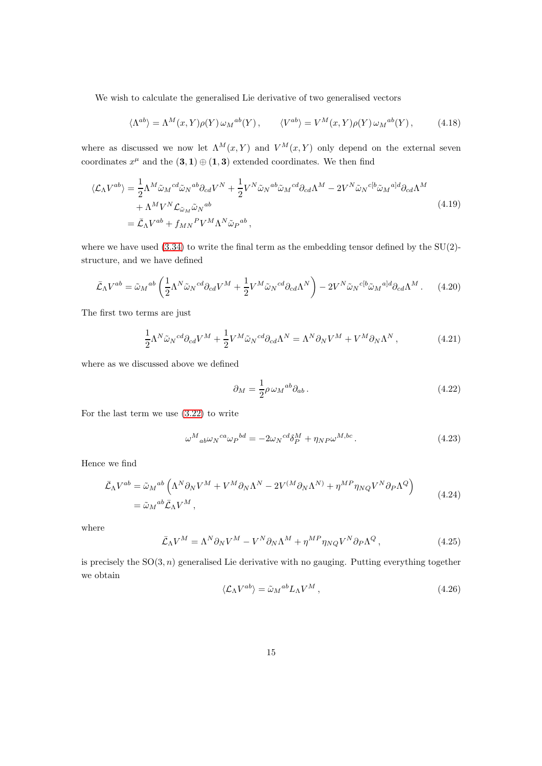We wish to calculate the generalised Lie derivative of two generalised vectors

$$
\langle \Lambda^{ab} \rangle = \Lambda^M(x, Y) \rho(Y) \,\omega_M{}^{ab}(Y) \,, \qquad \langle V^{ab} \rangle = V^M(x, Y) \rho(Y) \,\omega_M{}^{ab}(Y) \,, \tag{4.18}
$$

where as discussed we now let  $\Lambda^M(x, Y)$  and  $V^M(x, Y)$  only depend on the external seven coordinates  $x^{\mu}$  and the  $(3,1) \oplus (1,3)$  extended coordinates. We then find

$$
\langle \mathcal{L}_{\Lambda} V^{ab} \rangle = \frac{1}{2} \Lambda^M \tilde{\omega}_M{}^{cd} \tilde{\omega}_N{}^{ab} \partial_{cd} V^N + \frac{1}{2} V^N \tilde{\omega}_N{}^{ab} \tilde{\omega}_M{}^{cd} \partial_{cd} \Lambda^M - 2 V^N \tilde{\omega}_N{}^{c[b} \tilde{\omega}_M{}^{a]d} \partial_{cd} \Lambda^M + \Lambda^M V^N \mathcal{L}_{\tilde{\omega}_M} \tilde{\omega}_N{}^{ab} = \bar{\mathcal{L}}_{\Lambda} V^{ab} + f_{MN}{}^P V^M \Lambda^N \tilde{\omega}_P{}^{ab} ,
$$
\n(4.19)

where we have used  $(3.34)$  to write the final term as the embedding tensor defined by the SU(2)structure, and we have defined

$$
\bar{\mathcal{L}}_{\Lambda}V^{ab} = \tilde{\omega}_M{}^{ab} \left( \frac{1}{2} \Lambda^N \tilde{\omega}_N{}^{cd} \partial_{cd} V^M + \frac{1}{2} V^M \tilde{\omega}_N{}^{cd} \partial_{cd} \Lambda^N \right) - 2 V^N \tilde{\omega}_N{}^{cb} \tilde{\omega}_M{}^{al} \partial_{cd} \Lambda^M. \tag{4.20}
$$

The first two terms are just

$$
\frac{1}{2}\Lambda^N \tilde{\omega}_N{}^{cd} \partial_{cd} V^M + \frac{1}{2} V^M \tilde{\omega}_N{}^{cd} \partial_{cd} \Lambda^N = \Lambda^N \partial_N V^M + V^M \partial_N \Lambda^N, \tag{4.21}
$$

where as we discussed above we defined

$$
\partial_M = \frac{1}{2} \rho \,\omega_M{}^{ab} \partial_{ab} \,. \tag{4.22}
$$

For the last term we use [\(3.22\)](#page-8-3) to write

$$
\omega^M{}_{ab}\omega_N{}^{ca}\omega_P{}^{bd} = -2\omega_N{}^{cd}\delta_P^M + \eta_{NP}\omega^{M,bc} \,. \tag{4.23}
$$

Hence we find

$$
\bar{\mathcal{L}}_{\Lambda}V^{ab} = \tilde{\omega}_{M}{}^{ab} \left( \Lambda^{N} \partial_{N} V^{M} + V^{M} \partial_{N} \Lambda^{N} - 2V^{(M} \partial_{N} \Lambda^{N)} + \eta^{MP} \eta_{NQ} V^{N} \partial_{P} \Lambda^{Q} \right)
$$
\n
$$
= \tilde{\omega}_{M}{}^{ab} \bar{\mathcal{L}}_{\Lambda} V^{M}, \qquad (4.24)
$$

where

$$
\bar{\mathcal{L}}_{\Lambda}V^{M} = \Lambda^{N}\partial_{N}V^{M} - V^{N}\partial_{N}\Lambda^{M} + \eta^{MP}\eta_{NQ}V^{N}\partial_{P}\Lambda^{Q}, \qquad (4.25)
$$

is precisely the  $SO(3, n)$  generalised Lie derivative with no gauging. Putting everything together we obtain

$$
\langle \mathcal{L}_{\Lambda} V^{ab} \rangle = \tilde{\omega}_M{}^{ab} L_{\Lambda} V^M , \qquad (4.26)
$$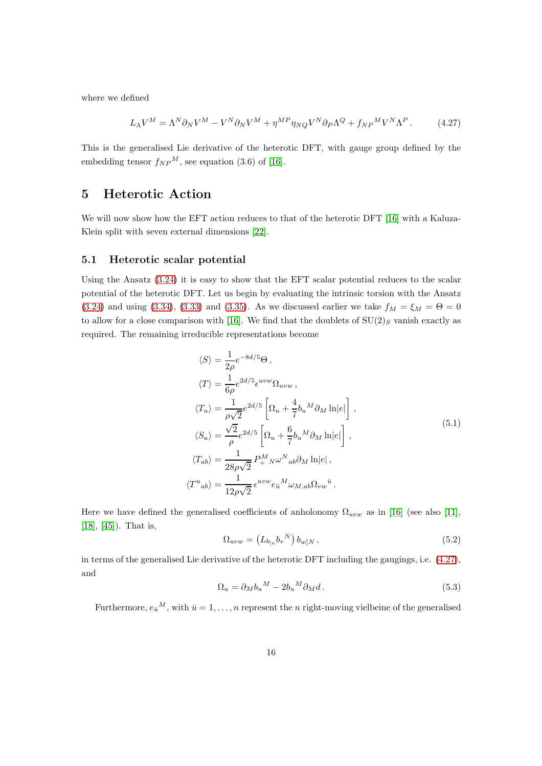where we defined

<span id="page-16-2"></span>
$$
L_{\Lambda}V^{M} = \Lambda^{N}\partial_{N}V^{M} - V^{N}\partial_{N}V^{M} + \eta^{MP}\eta_{NQ}V^{N}\partial_{P}\Lambda^{Q} + f_{NP}{}^{M}V^{N}\Lambda^{P}.
$$
 (4.27)

This is the generalised Lie derivative of the heterotic DFT, with gauge group defined by the embedding tensor  $f_{NP}^M$ , see equation (3.6) of [\[16\]](#page-23-3).

### <span id="page-16-0"></span>5 Heterotic Action

We will now show how the EFT action reduces to that of the heterotic DFT [\[16\]](#page-23-3) with a Kaluza-Klein split with seven external dimensions [\[22\]](#page-23-9).

#### <span id="page-16-1"></span>5.1 Heterotic scalar potential

Using the Ansatz [\(3.24\)](#page-9-1) it is easy to show that the EFT scalar potential reduces to the scalar potential of the heterotic DFT. Let us begin by evaluating the intrinsic torsion with the Ansatz [\(3.24\)](#page-9-1) and using [\(3.34\)](#page-10-3), [\(3.33\)](#page-10-4) and [\(3.35\)](#page-10-5). As we discussed earlier we take  $f_M = \xi_M = \Theta = 0$ to allow for a close comparison with [\[16\]](#page-23-3). We find that the doublets of  $SU(2)_S$  vanish exactly as required. The remaining irreducible representations become

$$
\langle S \rangle = \frac{1}{2\rho} e^{-8d/5} \Theta,
$$
  
\n
$$
\langle T \rangle = \frac{1}{6\rho} e^{2d/5} \epsilon^{uvw} \Omega_{uvw},
$$
  
\n
$$
\langle T_u \rangle = \frac{1}{\rho\sqrt{2}} e^{2d/5} \left[ \Omega_u + \frac{4}{7} b_u{}^M \partial_M \ln|e| \right],
$$
  
\n
$$
\langle S_u \rangle = \frac{\sqrt{2}}{\rho} e^{2d/5} \left[ \Omega_u + \frac{6}{7} b_u{}^M \partial_M \ln|e| \right],
$$
  
\n
$$
\langle T_{ab} \rangle = \frac{1}{28\rho\sqrt{2}} P_+^M{}_N \omega^N{}_{ab} \partial_M \ln|e|,
$$
  
\n
$$
\langle T^u{}_{ab} \rangle = \frac{1}{12\rho\sqrt{2}} e^{uvw} e_{\bar{u}}{}^M \omega_{M,ab} \Omega_{vw}{}^{\bar{u}}.
$$
\n(5.1)

<span id="page-16-3"></span>Here we have defined the generalised coefficients of anholonomy  $\Omega_{uvw}$  as in [\[16\]](#page-23-3) (see also [\[11\]](#page-22-9), [\[18\]](#page-23-5), [\[45\]](#page-25-1)). That is,

$$
\Omega_{uvw} = (L_{b_{[u}} b_v^N) b_{w]N}, \qquad (5.2)
$$

in terms of the generalised Lie derivative of the heterotic DFT including the gaugings, i.e. [\(4.27\)](#page-16-2), and

$$
\Omega_u = \partial_M b_u{}^M - 2b_u{}^M \partial_M d. \tag{5.3}
$$

Furthermore,  $e_{\bar{u}}^M$ , with  $\bar{u} = 1, \ldots, n$  represent the *n* right-moving vielbeine of the generalised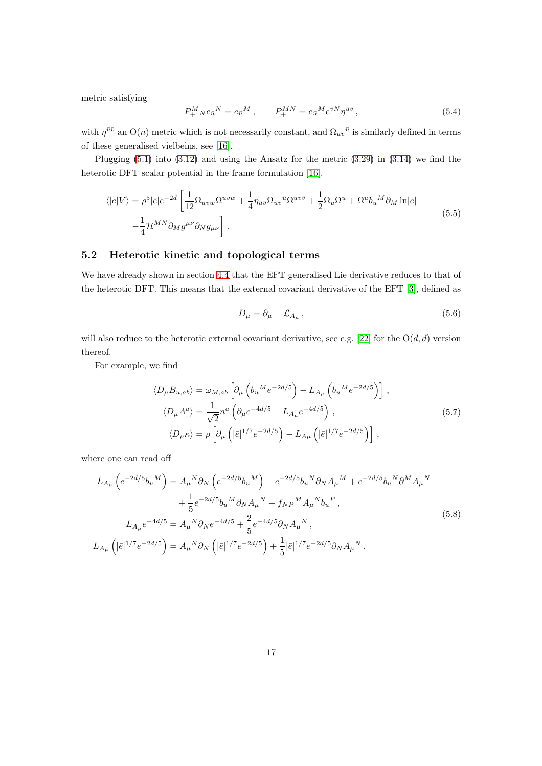metric satisfying

$$
P_{+~N}^{M}e_{\bar{u}}{}^{N} = e_{\bar{u}}{}^{M}, \qquad P_{+}^{MN} = e_{\bar{u}}{}^{M}e^{\bar{v}N}\eta^{\bar{u}\bar{v}}, \qquad (5.4)
$$

with  $\eta^{\bar{u}\bar{v}}$  an  $O(n)$  metric which is not necessarily constant, and  $\Omega_{uv}{}^{\bar{u}}$  is similarly defined in terms of these generalised vielbeins, see [\[16\]](#page-23-3).

Plugging [\(5.1\)](#page-16-3) into [\(3.12\)](#page-7-1) and using the Ansatz for the metric [\(3.29\)](#page-9-2) in [\(3.14\)](#page-7-2) we find the heterotic DFT scalar potential in the frame formulation [\[16\]](#page-23-3).

$$
\langle |e|V\rangle = \rho^5 |\bar{e}| e^{-2d} \left[ \frac{1}{12} \Omega_{uvw} \Omega^{uvw} + \frac{1}{4} \eta_{\bar{u}\bar{v}} \Omega_{uv}{}^{\bar{u}} \Omega^{uv\bar{v}} + \frac{1}{2} \Omega_u \Omega^u + \Omega^u b_u{}^M \partial_M \ln|e| \right] -\frac{1}{4} \mathcal{H}^{MN} \partial_M g^{\mu\nu} \partial_N g_{\mu\nu} \right].
$$
 (5.5)

### <span id="page-17-0"></span>5.2 Heterotic kinetic and topological terms

We have already shown in section [4.4](#page-14-0) that the EFT generalised Lie derivative reduces to that of the heterotic DFT. This means that the external covariant derivative of the EFT [\[3\]](#page-22-2), defined as

$$
D_{\mu} = \partial_{\mu} - \mathcal{L}_{A_{\mu}} \,, \tag{5.6}
$$

will also reduce to the heterotic external covariant derivative, see e.g. [\[22\]](#page-23-9) for the  $O(d, d)$  version thereof.

For example, we find

$$
\langle D_{\mu}B_{u,ab}\rangle = \omega_{M,ab} \left[ \partial_{\mu} \left( b_{u}{}^{M} e^{-2d/5} \right) - L_{A_{\mu}} \left( b_{u}{}^{M} e^{-2d/5} \right) \right],
$$
  
\n
$$
\langle D_{\mu}A^{a}\rangle = \frac{1}{\sqrt{2}} n^{a} \left( \partial_{\mu} e^{-4d/5} - L_{A_{\mu}} e^{-4d/5} \right),
$$
  
\n
$$
\langle D_{\mu}\kappa \rangle = \rho \left[ \partial_{\mu} \left( |\bar{e}|^{1/7} e^{-2d/5} \right) - L_{A\mu} \left( |\bar{e}|^{1/7} e^{-2d/5} \right) \right],
$$
\n(5.7)

where one can read off

$$
L_{A_{\mu}}\left(e^{-2d/5}b_{u}{}^{M}\right) = A_{\mu}{}^{N}\partial_{N}\left(e^{-2d/5}b_{u}{}^{M}\right) - e^{-2d/5}b_{u}{}^{N}\partial_{N}A_{\mu}{}^{M} + e^{-2d/5}b_{u}{}^{N}\partial^{M}A_{\mu}{}^{N} + \frac{1}{5}e^{-2d/5}b_{u}{}^{M}\partial_{N}A_{\mu}{}^{N} + f_{NP}{}^{M}A_{\mu}{}^{N}b_{u}{}^{P},
$$
\n
$$
L_{A_{\mu}}e^{-4d/5} = A_{\mu}{}^{N}\partial_{N}e^{-4d/5} + \frac{2}{5}e^{-4d/5}\partial_{N}A_{\mu}{}^{N},
$$
\n
$$
L_{A_{\mu}}\left(|\bar{e}|^{1/7}e^{-2d/5}\right) = A_{\mu}{}^{N}\partial_{N}\left(|\bar{e}|^{1/7}e^{-2d/5}\right) + \frac{1}{5}|\bar{e}|^{1/7}e^{-2d/5}\partial_{N}A_{\mu}{}^{N}.
$$
\n
$$
(5.8)
$$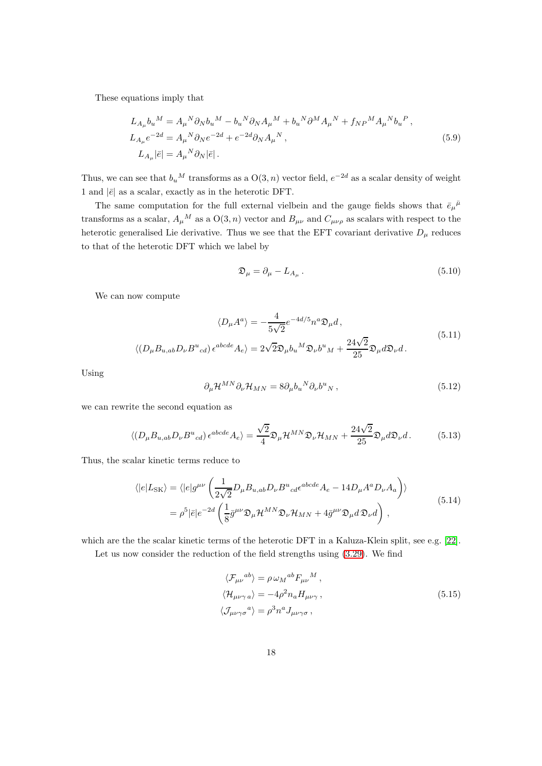These equations imply that

$$
L_{A_{\mu}}b_{u}{}^{M} = A_{\mu}{}^{N}\partial_{N}b_{u}{}^{M} - b_{u}{}^{N}\partial_{N}A_{\mu}{}^{M} + b_{u}{}^{N}\partial^{M}A_{\mu}{}^{N} + f_{NP}{}^{M}A_{\mu}{}^{N}b_{u}{}^{P},
$$
  
\n
$$
L_{A_{\mu}}e^{-2d} = A_{\mu}{}^{N}\partial_{N}e^{-2d} + e^{-2d}\partial_{N}A_{\mu}{}^{N},
$$
  
\n
$$
L_{A_{\mu}}|\bar{e}| = A_{\mu}{}^{N}\partial_{N}|\bar{e}|.
$$
\n(5.9)

Thus, we can see that  $b_u{}^M$  transforms as a  $O(3, n)$  vector field,  $e^{-2d}$  as a scalar density of weight 1 and  $|\bar{e}|$  as a scalar, exactly as in the heterotic DFT.

The same computation for the full external vielbein and the gauge fields shows that  $\bar{e}_{\mu}{}^{\bar{\mu}}$ transforms as a scalar,  $A_\mu{}^M$  as a  $O(3, n)$  vector and  $B_{\mu\nu}$  and  $C_{\mu\nu\rho}$  as scalars with respect to the heterotic generalised Lie derivative. Thus we see that the EFT covariant derivative  $D_{\mu}$  reduces to that of the heterotic DFT which we label by

$$
\mathfrak{D}_{\mu} = \partial_{\mu} - L_{A_{\mu}} \,. \tag{5.10}
$$

We can now compute

$$
\langle D_{\mu}A^{a}\rangle = -\frac{4}{5\sqrt{2}}e^{-4d/5}n^{a}\mathfrak{D}_{\mu}d,
$$
  

$$
\langle (D_{\mu}B_{u,ab}D_{\nu}B^{u}{}_{cd})\epsilon^{abcde}A_{e}\rangle = 2\sqrt{2}\mathfrak{D}_{\mu}b_{u}{}^{M}\mathfrak{D}_{\nu}b^{u}{}_{M} + \frac{24\sqrt{2}}{25}\mathfrak{D}_{\mu}d\mathfrak{D}_{\nu}d.
$$
\n
$$
(5.11)
$$

Using

$$
\partial_{\mu} \mathcal{H}^{MN} \partial_{\nu} \mathcal{H}_{MN} = 8 \partial_{\mu} b_{u}{}^{N} \partial_{\nu} b^{u}{}_{N} , \qquad (5.12)
$$

we can rewrite the second equation as

$$
\langle (D_{\mu}B_{u,ab}D_{\nu}B^{u}{}_{cd})\,\epsilon^{abcde}A_{e}\rangle = \frac{\sqrt{2}}{4}\mathfrak{D}_{\mu}\mathcal{H}^{MN}\mathfrak{D}_{\nu}\mathcal{H}_{MN} + \frac{24\sqrt{2}}{25}\mathfrak{D}_{\mu}d\mathfrak{D}_{\nu}d. \tag{5.13}
$$

Thus, the scalar kinetic terms reduce to

$$
\langle |e|L_{\text{SK}}\rangle = \langle |e|g^{\mu\nu}\left(\frac{1}{2\sqrt{2}}D_{\mu}B_{u,ab}D_{\nu}B^{u}_{cd}\epsilon^{abcde}A_{e} - 14D_{\mu}A^{a}D_{\nu}A_{a}\right)\rangle
$$
  
=  $\rho^{5}|\bar{e}|e^{-2d}\left(\frac{1}{8}\bar{g}^{\mu\nu}\mathfrak{D}_{\mu}\mathcal{H}^{MN}\mathfrak{D}_{\nu}\mathcal{H}_{MN} + 4\bar{g}^{\mu\nu}\mathfrak{D}_{\mu}d\mathfrak{D}_{\nu}d\right),$  (5.14)

which are the the scalar kinetic terms of the heterotic DFT in a Kaluza-Klein split, see e.g. [\[22\]](#page-23-9).

Let us now consider the reduction of the field strengths using [\(3.29\)](#page-9-2). We find

$$
\langle \mathcal{F}_{\mu\nu}{}^{ab} \rangle = \rho \omega_M{}^{ab} F_{\mu\nu}{}^M ,
$$
  

$$
\langle \mathcal{H}_{\mu\nu\gamma a} \rangle = -4\rho^2 n_a H_{\mu\nu\gamma} ,
$$
  

$$
\langle \mathcal{J}_{\mu\nu\gamma\sigma}{}^a \rangle = \rho^3 n^a J_{\mu\nu\gamma\sigma} ,
$$
 (5.15)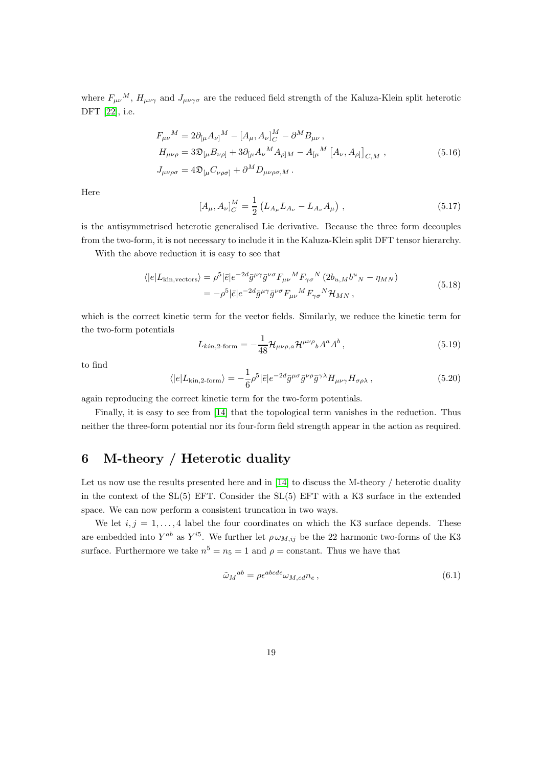where  $F_{\mu\nu}{}^M$ ,  $H_{\mu\nu\gamma}$  and  $J_{\mu\nu\gamma\sigma}$  are the reduced field strength of the Kaluza-Klein split heterotic DFT [\[22\]](#page-23-9), i.e.

$$
F_{\mu\nu}{}^{M} = 2\partial_{[\mu}A_{\nu]}{}^{M} - [A_{\mu}, A_{\nu}]_{C}^{M} - \partial^{M}B_{\mu\nu},
$$
  
\n
$$
H_{\mu\nu\rho} = 3\mathfrak{D}_{[\mu}B_{\nu\rho]} + 3\partial_{[\mu}A_{\nu}{}^{M}A_{\rho]M} - A_{[\mu}{}^{M}[A_{\nu}, A_{\rho]}]_{C,M},
$$
  
\n
$$
J_{\mu\nu\rho\sigma} = 4\mathfrak{D}_{[\mu}C_{\nu\rho\sigma]} + \partial^{M}D_{\mu\nu\rho\sigma,M}.
$$
\n(5.16)

Here

$$
[A_{\mu}, A_{\nu}]_{C}^{M} = \frac{1}{2} \left( L_{A_{\mu}} L_{A_{\nu}} - L_{A_{\nu}} A_{\mu} \right), \qquad (5.17)
$$

is the antisymmetrised heterotic generalised Lie derivative. Because the three form decouples from the two-form, it is not necessary to include it in the Kaluza-Klein split DFT tensor hierarchy.

With the above reduction it is easy to see that

$$
\langle |e|L_{\text{kin,vectors}}\rangle = \rho^5 |\bar{e}|e^{-2d}\bar{g}^{\mu\gamma}\bar{g}^{\nu\sigma}F_{\mu\nu}{}^M F_{\gamma\sigma}{}^N (2b_{u,M}b^u{}_N - \eta_{MN})
$$
  

$$
= -\rho^5 |\bar{e}|e^{-2d}\bar{g}^{\mu\gamma}\bar{g}^{\nu\sigma}F_{\mu\nu}{}^M F_{\gamma\sigma}{}^N \mathcal{H}_{MN} , \qquad (5.18)
$$

which is the correct kinetic term for the vector fields. Similarly, we reduce the kinetic term for the two-form potentials

$$
L_{kin,2-form} = -\frac{1}{48} \mathcal{H}_{\mu\nu\rho,a} \mathcal{H}^{\mu\nu\rho}{}_{b} A^{a} A^{b} , \qquad (5.19)
$$

to find

$$
\langle |e|L_{\text{kin},2\text{-form}} \rangle = -\frac{1}{6} \rho^5 |\bar{e}| e^{-2d} \bar{g}^{\mu \sigma} \bar{g}^{\nu \rho} \bar{g}^{\gamma \lambda} H_{\mu \nu \gamma} H_{\sigma \rho \lambda} , \qquad (5.20)
$$

again reproducing the correct kinetic term for the two-form potentials.

Finally, it is easy to see from [\[14\]](#page-23-1) that the topological term vanishes in the reduction. Thus neither the three-form potential nor its four-form field strength appear in the action as required.

## <span id="page-19-0"></span>6 M-theory / Heterotic duality

Let us now use the results presented here and in [\[14\]](#page-23-1) to discuss the M-theory / heterotic duality in the context of the SL(5) EFT. Consider the SL(5) EFT with a K3 surface in the extended space. We can now perform a consistent truncation in two ways.

We let  $i, j = 1, ..., 4$  label the four coordinates on which the K3 surface depends. These are embedded into  $Y^{ab}$  as  $Y^{i5}$ . We further let  $\rho \omega_{M,ij}$  be the 22 harmonic two-forms of the K3 surface. Furthermore we take  $n^5 = n_5 = 1$  and  $\rho = \text{constant}$ . Thus we have that

$$
\tilde{\omega}_M{}^{ab} = \rho \epsilon^{abcde} \omega_{M,cd} n_e \,, \tag{6.1}
$$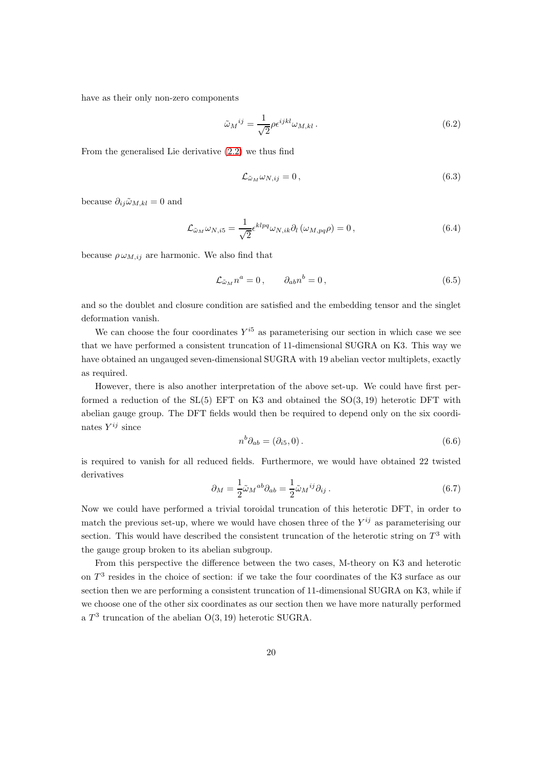have as their only non-zero components

$$
\tilde{\omega}_M{}^{ij} = \frac{1}{\sqrt{2}} \rho \epsilon^{ijkl} \omega_{M,kl} . \tag{6.2}
$$

From the generalised Lie derivative [\(2.2\)](#page-4-1) we thus find

$$
\mathcal{L}_{\tilde{\omega}_M} \omega_{N,ij} = 0, \qquad (6.3)
$$

because  $\partial_{ij}\tilde{\omega}_{M,kl} = 0$  and

$$
\mathcal{L}_{\tilde{\omega}_M}\omega_{N,i5} = \frac{1}{\sqrt{2}} \epsilon^{klpq} \omega_{N,ik} \partial_l \left(\omega_{M,pq}\rho\right) = 0, \qquad (6.4)
$$

because  $\rho \omega_{M,ij}$  are harmonic. We also find that

$$
\mathcal{L}_{\tilde{\omega}_M} n^a = 0, \qquad \partial_{ab} n^b = 0, \qquad (6.5)
$$

and so the doublet and closure condition are satisfied and the embedding tensor and the singlet deformation vanish.

We can choose the four coordinates  $Y^{i5}$  as parameterising our section in which case we see that we have performed a consistent truncation of 11-dimensional SUGRA on K3. This way we have obtained an ungauged seven-dimensional SUGRA with 19 abelian vector multiplets, exactly as required.

However, there is also another interpretation of the above set-up. We could have first performed a reduction of the  $SL(5)$  EFT on K3 and obtained the  $SO(3, 19)$  heterotic DFT with abelian gauge group. The DFT fields would then be required to depend only on the six coordinates  $Y^{ij}$  since

$$
n^b \partial_{ab} = (\partial_{i5}, 0). \tag{6.6}
$$

is required to vanish for all reduced fields. Furthermore, we would have obtained 22 twisted derivatives

$$
\partial_M = \frac{1}{2} \tilde{\omega}_M{}^{ab} \partial_{ab} = \frac{1}{2} \tilde{\omega}_M{}^{ij} \partial_{ij} . \tag{6.7}
$$

Now we could have performed a trivial toroidal truncation of this heterotic DFT, in order to match the previous set-up, where we would have chosen three of the  $Y^{ij}$  as parameterising our section. This would have described the consistent truncation of the heterotic string on  $T^3$  with the gauge group broken to its abelian subgroup.

From this perspective the difference between the two cases, M-theory on K3 and heterotic on  $T<sup>3</sup>$  resides in the choice of section: if we take the four coordinates of the K3 surface as our section then we are performing a consistent truncation of 11-dimensional SUGRA on K3, while if we choose one of the other six coordinates as our section then we have more naturally performed a  $T^3$  truncation of the abelian  $O(3, 19)$  heterotic SUGRA.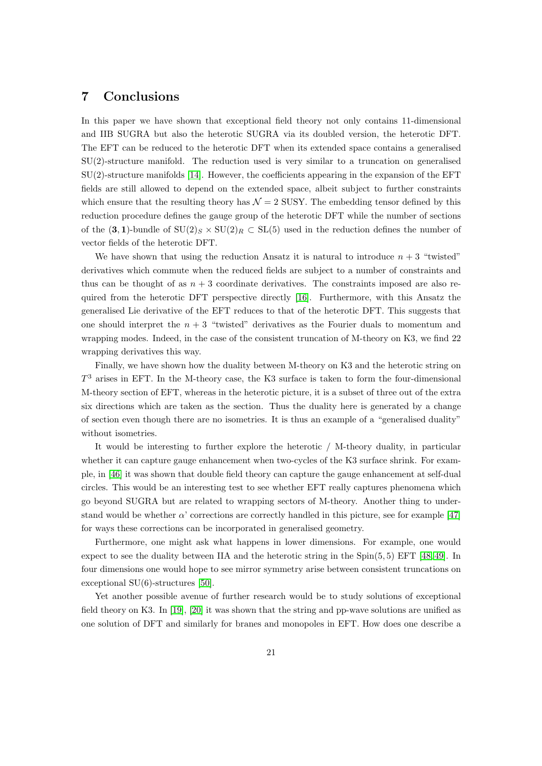### <span id="page-21-0"></span>7 Conclusions

In this paper we have shown that exceptional field theory not only contains 11-dimensional and IIB SUGRA but also the heterotic SUGRA via its doubled version, the heterotic DFT. The EFT can be reduced to the heterotic DFT when its extended space contains a generalised SU(2)-structure manifold. The reduction used is very similar to a truncation on generalised  $SU(2)$ -structure manifolds [\[14\]](#page-23-1). However, the coefficients appearing in the expansion of the EFT fields are still allowed to depend on the extended space, albeit subject to further constraints which ensure that the resulting theory has  $\mathcal{N} = 2$  SUSY. The embedding tensor defined by this reduction procedure defines the gauge group of the heterotic DFT while the number of sections of the  $(3,1)$ -bundle of  $SU(2)_S \times SU(2)_R \subset SL(5)$  used in the reduction defines the number of vector fields of the heterotic DFT.

We have shown that using the reduction Ansatz it is natural to introduce  $n + 3$  "twisted" derivatives which commute when the reduced fields are subject to a number of constraints and thus can be thought of as  $n + 3$  coordinate derivatives. The constraints imposed are also required from the heterotic DFT perspective directly [\[16\]](#page-23-3). Furthermore, with this Ansatz the generalised Lie derivative of the EFT reduces to that of the heterotic DFT. This suggests that one should interpret the  $n + 3$  "twisted" derivatives as the Fourier duals to momentum and wrapping modes. Indeed, in the case of the consistent truncation of M-theory on K3, we find 22 wrapping derivatives this way.

Finally, we have shown how the duality between M-theory on K3 and the heterotic string on  $T<sup>3</sup>$  arises in EFT. In the M-theory case, the K3 surface is taken to form the four-dimensional M-theory section of EFT, whereas in the heterotic picture, it is a subset of three out of the extra six directions which are taken as the section. Thus the duality here is generated by a change of section even though there are no isometries. It is thus an example of a "generalised duality" without isometries.

It would be interesting to further explore the heterotic / M-theory duality, in particular whether it can capture gauge enhancement when two-cycles of the K3 surface shrink. For example, in [\[46\]](#page-25-2) it was shown that double field theory can capture the gauge enhancement at self-dual circles. This would be an interesting test to see whether EFT really captures phenomena which go beyond SUGRA but are related to wrapping sectors of M-theory. Another thing to understand would be whether  $\alpha'$  corrections are correctly handled in this picture, see for example [\[47\]](#page-25-3) for ways these corrections can be incorporated in generalised geometry.

Furthermore, one might ask what happens in lower dimensions. For example, one would expect to see the duality between IIA and the heterotic string in the Spin(5, 5) EFT [\[48,](#page-25-4) [49\]](#page-25-5). In four dimensions one would hope to see mirror symmetry arise between consistent truncations on exceptional SU(6)-structures [\[50\]](#page-25-6).

Yet another possible avenue of further research would be to study solutions of exceptional field theory on K3. In [\[19\]](#page-23-6), [\[20\]](#page-23-7) it was shown that the string and pp-wave solutions are unified as one solution of DFT and similarly for branes and monopoles in EFT. How does one describe a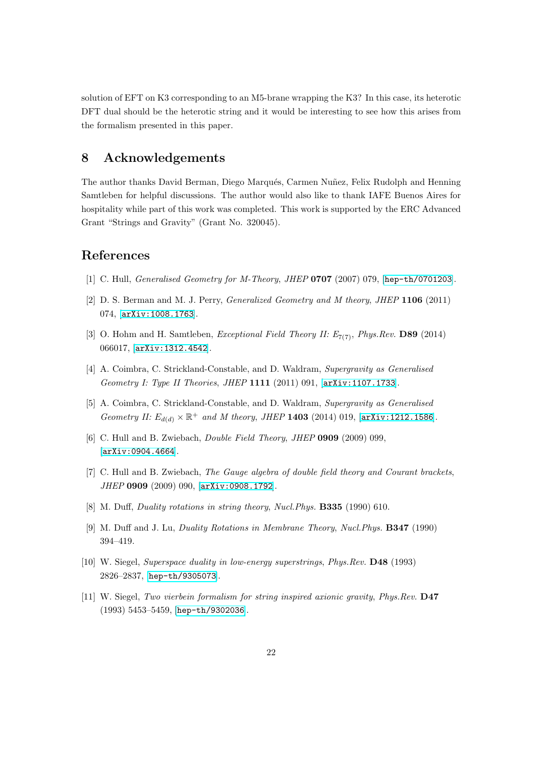solution of EFT on K3 corresponding to an M5-brane wrapping the K3? In this case, its heterotic DFT dual should be the heterotic string and it would be interesting to see how this arises from the formalism presented in this paper.

## <span id="page-22-0"></span>8 Acknowledgements

The author thanks David Berman, Diego Marqués, Carmen Nuñez, Felix Rudolph and Henning Samtleben for helpful discussions. The author would also like to thank IAFE Buenos Aires for hospitality while part of this work was completed. This work is supported by the ERC Advanced Grant "Strings and Gravity" (Grant No. 320045).

## <span id="page-22-1"></span>References

- <span id="page-22-10"></span>[1] C. Hull, *Generalised Geometry for M-Theory, JHEP* **0707** (2007) 079, [[hep-th/0701203](http://arxiv.org/abs/hep-th/0701203)].
- <span id="page-22-2"></span>[2] D. S. Berman and M. J. Perry, Generalized Geometry and M theory, JHEP 1106 (2011) 074, [[arXiv:1008.1763](http://arxiv.org/abs/1008.1763)].
- <span id="page-22-3"></span>[3] O. Hohm and H. Samtleben, *Exceptional Field Theory II:*  $E_{7(7)}$ , *Phys.Rev.* **D89** (2014) 066017, [[arXiv:1312.4542](http://arxiv.org/abs/1312.4542)].
- <span id="page-22-4"></span>[4] A. Coimbra, C. Strickland-Constable, and D. Waldram, Supergravity as Generalised Geometry I: Type II Theories, JHEP 1111 (2011) 091, [[arXiv:1107.1733](http://arxiv.org/abs/1107.1733)].
- [5] A. Coimbra, C. Strickland-Constable, and D. Waldram, Supergravity as Generalised Geometry II:  $E_{d(d)} \times \mathbb{R}^+$  and M theory, JHEP 1403 (2014) 019, [[arXiv:1212.1586](http://arxiv.org/abs/1212.1586)].
- <span id="page-22-6"></span><span id="page-22-5"></span>[6] C. Hull and B. Zwiebach, Double Field Theory, JHEP 0909 (2009) 099, [[arXiv:0904.4664](http://arxiv.org/abs/0904.4664)].
- <span id="page-22-7"></span>[7] C. Hull and B. Zwiebach, The Gauge algebra of double field theory and Courant brackets, JHEP 0909 (2009) 090, [[arXiv:0908.1792](http://arxiv.org/abs/0908.1792)].
- [8] M. Duff, *Duality rotations in string theory, Nucl. Phys.* **B335** (1990) 610.
- <span id="page-22-8"></span>[9] M. Duff and J. Lu, Duality Rotations in Membrane Theory, Nucl.Phys. B347 (1990) 394–419.
- <span id="page-22-9"></span>[10] W. Siegel, Superspace duality in low-energy superstrings, Phys.Rev. D48 (1993) 2826–2837, [[hep-th/9305073](http://arxiv.org/abs/hep-th/9305073)].
- [11] W. Siegel, Two vierbein formalism for string inspired axionic gravity, Phys.Rev. D47 (1993) 5453–5459, [[hep-th/9302036](http://arxiv.org/abs/hep-th/9302036)].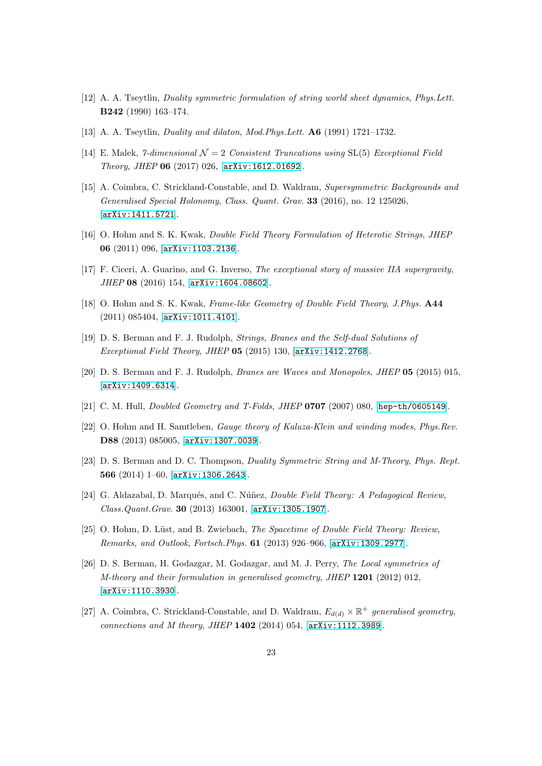- <span id="page-23-0"></span>[12] A. A. Tseytlin, Duality symmetric formulation of string world sheet dynamics, Phys.Lett. B242 (1990) 163–174.
- <span id="page-23-1"></span>[13] A. A. Tseytlin, Duality and dilaton, Mod.Phys.Lett. A6 (1991) 1721–1732.
- <span id="page-23-2"></span>[14] E. Malek,  $\gamma$ -dimensional  $\mathcal{N}=2$  Consistent Truncations using SL(5) Exceptional Field Theory, JHEP 06 (2017) 026, [[arXiv:1612.01692](http://arxiv.org/abs/1612.01692)].
- [15] A. Coimbra, C. Strickland-Constable, and D. Waldram, Supersymmetric Backgrounds and Generalised Special Holonomy, Class. Quant. Grav. 33 (2016), no. 12 125026, [[arXiv:1411.5721](http://arxiv.org/abs/1411.5721)].
- <span id="page-23-4"></span><span id="page-23-3"></span>[16] O. Hohm and S. K. Kwak, Double Field Theory Formulation of Heterotic Strings, JHEP 06 (2011) 096, [[arXiv:1103.2136](http://arxiv.org/abs/1103.2136)].
- <span id="page-23-5"></span>[17] F. Ciceri, A. Guarino, and G. Inverso, The exceptional story of massive IIA supergravity, JHEP 08 (2016) 154, [[arXiv:1604.08602](http://arxiv.org/abs/1604.08602)].
- <span id="page-23-6"></span>[18] O. Hohm and S. K. Kwak, Frame-like Geometry of Double Field Theory, J.Phys.  $\mathbf{A44}$ (2011) 085404, [[arXiv:1011.4101](http://arxiv.org/abs/1011.4101)].
- <span id="page-23-7"></span>[19] D. S. Berman and F. J. Rudolph, Strings, Branes and the Self-dual Solutions of Exceptional Field Theory, JHEP 05 (2015) 130, [[arXiv:1412.2768](http://arxiv.org/abs/1412.2768)].
- <span id="page-23-8"></span>[20] D. S. Berman and F. J. Rudolph, Branes are Waves and Monopoles, JHEP 05 (2015) 015, [[arXiv:1409.6314](http://arxiv.org/abs/1409.6314)].
- <span id="page-23-9"></span>[21] C. M. Hull, Doubled Geometry and T-Folds, JHEP 0707 (2007) 080, [[hep-th/0605149](http://arxiv.org/abs/hep-th/0605149)].
- <span id="page-23-10"></span>[22] O. Hohm and H. Samtleben, Gauge theory of Kaluza-Klein and winding modes, Phys.Rev. D88 (2013) 085005, [[arXiv:1307.0039](http://arxiv.org/abs/1307.0039)].
- [23] D. S. Berman and D. C. Thompson, *Duality Symmetric String and M-Theory, Phys. Rept.* 566 (2014) 1–60, [[arXiv:1306.2643](http://arxiv.org/abs/1306.2643)].
- <span id="page-23-11"></span>[24] G. Aldazabal, D. Marqués, and C. Núñez, *Double Field Theory: A Pedagogical Review*, Class.Quant.Grav. 30 (2013) 163001, [[arXiv:1305.1907](http://arxiv.org/abs/1305.1907)].
- <span id="page-23-12"></span>[25] O. Hohm, D. Lüst, and B. Zwiebach, The Spacetime of Double Field Theory: Review, Remarks, and Outlook, Fortsch.Phys. 61 (2013) 926–966, [[arXiv:1309.2977](http://arxiv.org/abs/1309.2977)].
- [26] D. S. Berman, H. Godazgar, M. Godazgar, and M. J. Perry, The Local symmetries of M-theory and their formulation in generalised geometry, JHEP 1201 (2012) 012, [[arXiv:1110.3930](http://arxiv.org/abs/1110.3930)].
- <span id="page-23-13"></span>[27] A. Coimbra, C. Strickland-Constable, and D. Waldram,  $E_{d(d)} \times \mathbb{R}^+$  generalised geometry, connections and M theory, JHEP  $1402$  (2014) 054,  $[arXiv:1112.3989]$  $[arXiv:1112.3989]$  $[arXiv:1112.3989]$ .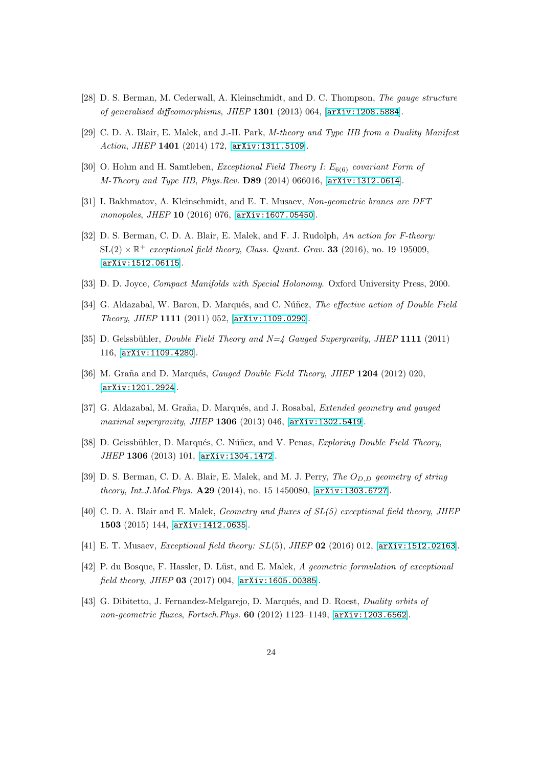- <span id="page-24-1"></span><span id="page-24-0"></span>[28] D. S. Berman, M. Cederwall, A. Kleinschmidt, and D. C. Thompson, The gauge structure of generalised diffeomorphisms, JHEP 1301 (2013) 064, [[arXiv:1208.5884](http://arxiv.org/abs/1208.5884)].
- <span id="page-24-2"></span>[29] C. D. A. Blair, E. Malek, and J.-H. Park, M-theory and Type IIB from a Duality Manifest Action, JHEP 1401 (2014) 172, [[arXiv:1311.5109](http://arxiv.org/abs/1311.5109)].
- <span id="page-24-3"></span>[30] O. Hohm and H. Samtleben, *Exceptional Field Theory I:*  $E_{6(6)}$  *covariant Form of* M-Theory and Type IIB, Phys.Rev. D89 (2014) 066016, [[arXiv:1312.0614](http://arxiv.org/abs/1312.0614)].
- <span id="page-24-4"></span>[31] I. Bakhmatov, A. Kleinschmidt, and E. T. Musaev, Non-geometric branes are DFT monopoles, JHEP 10 (2016) 076, [[arXiv:1607.05450](http://arxiv.org/abs/1607.05450)].
- [32] D. S. Berman, C. D. A. Blair, E. Malek, and F. J. Rudolph, An action for F-theory:  $SL(2) \times \mathbb{R}^+$  exceptional field theory, Class. Quant. Grav. **33** (2016), no. 19 195009, [[arXiv:1512.06115](http://arxiv.org/abs/1512.06115)].
- <span id="page-24-6"></span><span id="page-24-5"></span>[33] D. D. Joyce, Compact Manifolds with Special Holonomy. Oxford University Press, 2000.
- [34] G. Aldazabal, W. Baron, D. Marqués, and C. Núñez, The effective action of Double Field Theory, JHEP 1111 (2011) 052, [[arXiv:1109.0290](http://arxiv.org/abs/1109.0290)].
- [35] D. Geissbühler, Double Field Theory and  $N=4$  Gauged Supergravity, JHEP 1111 (2011) 116, [[arXiv:1109.4280](http://arxiv.org/abs/1109.4280)].
- [36] M. Graña and D. Marqués, *Gauged Double Field Theory, JHEP* 1204 (2012) 020, [[arXiv:1201.2924](http://arxiv.org/abs/1201.2924)].
- [37] G. Aldazabal, M. Graña, D. Marqués, and J. Rosabal, *Extended geometry and gauged* maximal supergravity, JHEP 1306 (2013) 046, [[arXiv:1302.5419](http://arxiv.org/abs/1302.5419)].
- [38] D. Geissbühler, D. Marqués, C. Núñez, and V. Penas, Exploring Double Field Theory, JHEP 1306 (2013) 101, [[arXiv:1304.1472](http://arxiv.org/abs/1304.1472)].
- <span id="page-24-7"></span>[39] D. S. Berman, C. D. A. Blair, E. Malek, and M. J. Perry, The  $O_{D,D}$  geometry of string theory, Int.J.Mod.Phys. A29 (2014), no. 15 1450080, [[arXiv:1303.6727](http://arxiv.org/abs/1303.6727)].
- <span id="page-24-8"></span>[40] C. D. A. Blair and E. Malek, Geometry and fluxes of SL(5) exceptional field theory, JHEP 1503 (2015) 144, [[arXiv:1412.0635](http://arxiv.org/abs/1412.0635)].
- <span id="page-24-9"></span>[41] E. T. Musaev, *Exceptional field theory: SL*(5), *JHEP* **02** (2016) 012, [[arXiv:1512.02163](http://arxiv.org/abs/1512.02163)].
- <span id="page-24-10"></span>[42] P. du Bosque, F. Hassler, D. Lüst, and E. Malek, A geometric formulation of exceptional field theory, JHEP 03 (2017) 004, [[arXiv:1605.00385](http://arxiv.org/abs/1605.00385)].
- [43] G. Dibitetto, J. Fernandez-Melgarejo, D. Marqués, and D. Roest, *Duality orbits of* non-geometric fluxes, Fortsch.Phys.  $60$  (2012) 1123-1149,  $[$ [arXiv:1203.6562](http://arxiv.org/abs/1203.6562).